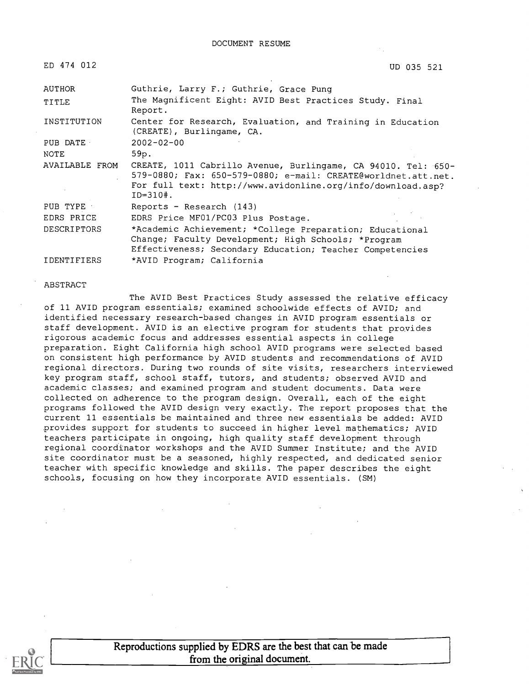| ED 474 012         | UD 035 521                                                                                                                                                                                                     |
|--------------------|----------------------------------------------------------------------------------------------------------------------------------------------------------------------------------------------------------------|
| <b>AUTHOR</b>      | Guthrie, Larry F.; Guthrie, Grace Pung                                                                                                                                                                         |
| TITLE              | The Magnificent Eight: AVID Best Practices Study. Final<br>Report.                                                                                                                                             |
| INSTITUTION        | Center for Research, Evaluation, and Training in Education<br>(CREATE), Burlingame, CA.                                                                                                                        |
| PUB DATE           | $2002 - 02 - 00$                                                                                                                                                                                               |
| <b>NOTE</b>        | 59p.                                                                                                                                                                                                           |
| AVAILABLE FROM     | CREATE, 1011 Cabrillo Avenue, Burlingame, CA 94010. Tel: 650-<br>579-0880; Fax: 650-579-0880; e-mail: CREATE@worldnet.att.net.<br>For full text: http://www.avidonline.org/info/download.asp?<br>$ID = 310$ #. |
| PUB TYPE           | Reports - Research (143)                                                                                                                                                                                       |
| EDRS PRICE         | EDRS Price MF01/PC03 Plus Postage.                                                                                                                                                                             |
| <b>DESCRIPTORS</b> | *Academic Achievement; *College Preparation; Educational<br>Change; Faculty Development; High Schools; *Program<br>Effectiveness; Secondary Education; Teacher Competencies                                    |
| <b>IDENTIFIERS</b> | *AVID Program; California                                                                                                                                                                                      |

#### ABSTRACT

The AVID Best Practices Study assessed the relative efficacy of 11 AVID program essentials; examined schoolwide effects of AVID; and identified necessary research-based changes in AVID program essentials or staff development. AVID is an elective program for students that provides rigorous academic focus and addresses essential aspects in college preparation. Eight California high school AVID programs were selected based on consistent high performance by AVID students and recommendations of AVID regional directors. During two rounds of site visits, researchers interviewed key program staff, school staff, tutors, and students; observed AVID and academic classes; and examined program and student documents. Data were collected on adherence to the program design. Overall, each of the eight programs followed the AVID design very exactly. The report proposes that the current 11 essentials be maintained and three new essentials be added: AVID provides support for students to succeed in higher level mathematics; AVID teachers participate in ongoing, high quality staff development through regional coordinator workshops and the AVID Summer Institute; and the AVID site coordinator must be a seasoned, highly respected, and dedicated senior teacher with specific knowledge and skills. The paper describes the eight schools, focusing on how they incorporate AVID essentials. (SM)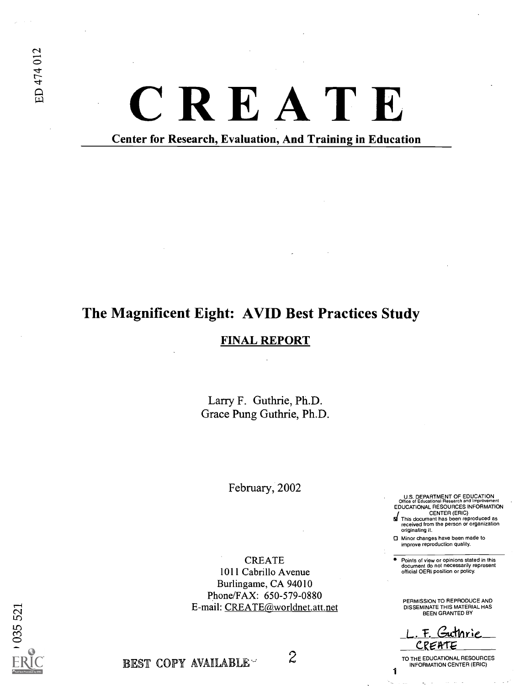# CREATE

Center for Research, Evaluation, And Training in Education

# The Magnificent Eight: AVID Best Practices Study

### FINAL REPORT

Larry F. Guthrie, Ph.D. Grace Pung Guthrie, Ph.D.

February, 2002

CREATE 1011 Cabrillo Avenue Burlingame, CA 94010 Phone/FAX: 650-579-0880 E-mail: CREATE@worldnet.att.net U.S. DEPARTMENT OF EDUCATION Office of Educational Research and Improvement EDUCATIONAL RESOURCES INFORMATION

CENTER (ERIC) 61 This document has been reproduced as received from the person or organization originating it.

Minor changes have been made to improve reproduction quality.

Points of view or opinions stated in this document do not necessarily represent official OERI position or policy.

PERMISSION TO REPRODUCE AND DISSEMINATE THIS MATERIAL HAS BEEN GRANTED BY

F. Guthrie <u>CREATE</u>

TO THE EDUCATIONAL RESOURCES INFORMATION CENTER (ERIC)

1

 $0355521$ 

BEST COPY AVAILABLE  $\sim$  2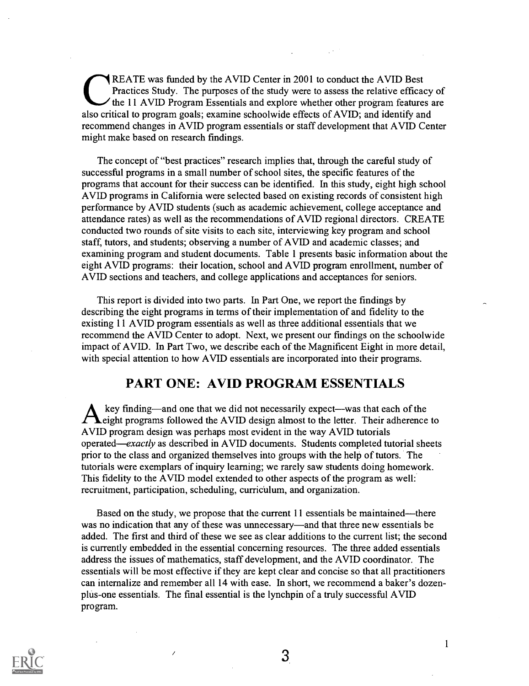REATE was funded by the AVID Center in 2001 to conduct the AVID Best Practices Study. The purposes of the study were to assess the relative efficacy of the 11 AVID Program Essentials and explore whether other program features are also critical to program goals; examine schoolwide effects of AVID; and identify and recommend changes in AVID program essentials or staff development that AVID Center might make based on research findings.

The concept of "best practices" research implies that, through the careful study of successful programs in a small number of school sites, the specific features of the programs that account for their success can be identified. In this study, eight high school AVID programs in California were selected based on existing records of consistent high performance by AVID students (such as academic achievement, college acceptance and attendance rates) as well as the recommendations of AVID regional directors. CREATE conducted two rounds of site visits to each site, interviewing key program and school staff, tutors, and students; observing a number of AVID and academic classes; and examining program and student documents. Table 1 presents basic information about the eight AVID programs: their location, school and AVID program enrollment, number of AVID sections and teachers, and college applications and acceptances for seniors.

This report is divided into two parts. In Part One, we report the findings by describing the eight programs in terms of their implementation of and fidelity to the existing 11 AVID program essentials as well as three additional essentials that we recommend the AVID Center to adopt. Next, we present our findings on the schoolwide impact of AVID. In Part Two, we describe each of the Magnificent Eight in more detail, with special attention to how AVID essentials are incorporated into their programs.

### PART ONE: AVID PROGRAM ESSENTIALS

key finding—and one that we did not necessarily expect—was that each of the eight programs followed the AVID design almost to the letter. Their adherence to AVID program design was perhaps most evident in the way AVID tutorials operated—exactly as described in AVID documents. Students completed tutorial sheets prior to the class and organized themselves into groups with the help of tutors. The tutorials were exemplars of inquiry learning; we rarely saw students doing homework. This fidelity to the AVID model extended to other aspects of the program as well: recruitment, participation, scheduling, curriculum, and organization.

Based on the study, we propose that the current  $11$  essentials be maintained—there was no indication that any of these was unnecessary—and that three new essentials be added. The first and third of these we see as clear additions to the current list; the second is currently embedded in the essential concerning resources. The three added essentials address the issues of mathematics, staff development, and the AVID coordinator. The essentials will be most effective if they are kept clear and concise so that all practitioners can internalize and remember all 14 with ease. In short, we recommend a baker's dozenplus-one essentials. The final essential is the lynchpin of a truly successful AVID program.

 $\overline{\phantom{a}}$ 



3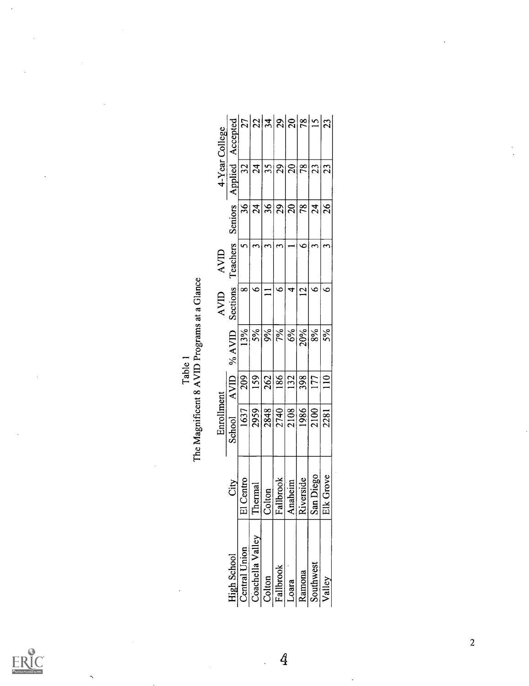$\mathop{\mathrm{\mathbf{FRUC}}}\limits_{\mathop{\mathsf{Perulbert}\, \mathsf{Provided}\, \mathsf{by} \, \mathsf{EHC}}}$ 

 $\overline{\phantom{0}}$ 

| Table, | $\overline{a}$<br>omano<br>⇁<br>.<br>م<br>רוף היה |
|--------|---------------------------------------------------|
|        | ŧ                                                 |

| 4-Year College                                         |             | Applied Accepted   | 27                             | 22                   | $\frac{1}{3}$ | 29                           | $\overline{0}$  | $\frac{8}{2}$  | $\overline{2}$      | 23            |  |
|--------------------------------------------------------|-------------|--------------------|--------------------------------|----------------------|---------------|------------------------------|-----------------|----------------|---------------------|---------------|--|
|                                                        |             |                    | 32                             | $\overline{24}$      | 35            | 29                           | $\overline{20}$ | 78             | 23                  | 23            |  |
|                                                        |             | <b>Seniors</b>     | 36                             | $\overline{24}$      | 36            | 29                           | $\overline{20}$ | 78             | $\overline{24}$     | 26            |  |
|                                                        | AVID        | Teachers           | $\mathbf{\hat{z}}$             | $\mathbf{\tilde{c}}$ | 3             | 3                            |                 | $\bullet$      | ო                   | ო             |  |
|                                                        | <b>AVID</b> | Sections           | ∞                              | ∘                    | $\Box$        | ∘                            | 4               | $\overline{2}$ | G                   | $\bullet$     |  |
|                                                        |             | $\%$ AVID          | 13%                            | 5%                   | 9%            | 7%                           | 6%              | 20%            | 8%                  | 5%            |  |
| The Magnificent 8 AVID Programs at a Glance<br>Table 1 |             | AVID               | 209                            | 159                  | 262           | 186                          | 132             | 398            | 177                 | $\frac{1}{2}$ |  |
|                                                        | Enrollment  | School             | 1637                           | 2959                 | 2848          | 2740                         | 2108            | 1986           | 2100                | 2281          |  |
|                                                        |             | Ğ                  | <b>Centro</b><br>$\frac{1}{2}$ | Thermal              | Colton        | Fallbrook                    | Anaheim         | Riverside      | San Diego           | Grove<br>Elk  |  |
|                                                        |             | <b>High School</b> | Central Union                  | Coachella Valley     |               | Colton<br>Fallbrook<br>Loara |                 |                | Ramona<br>Southwest | Valley        |  |

 $\overline{4}$ 

 $\overline{a}$ 

 $\overline{c}$ 

 $\ddot{\phantom{0}}$  $\ddot{\phantom{a}}$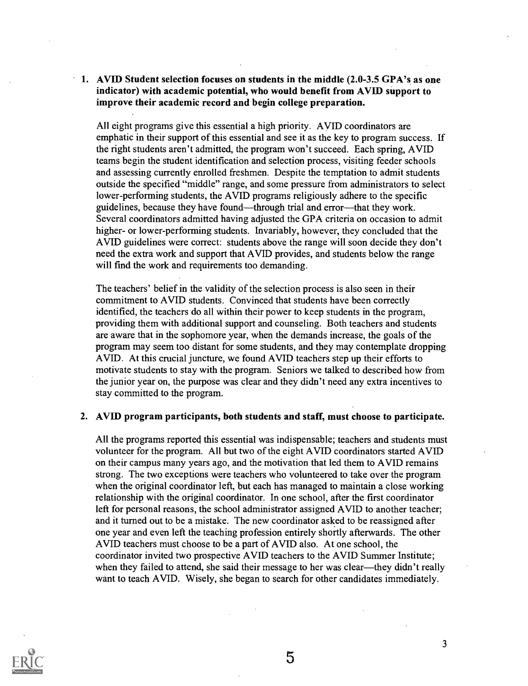### 1. AVID Student selection focuses on students in the middle (2.0-3.5 GPA's as one indicator) with academic potential, who would benefit from AVID support to improve their academic record and begin college preparation.

All eight programs give this essential a high priority. AVID coordinators are emphatic in their support of this essential and see it as the key to program success. If the right students aren't admitted, the program won't succeed. Each spring, AVID teams begin the student identification and selection process, visiting feeder schools and assessing currently enrolled freshmen. Despite the temptation to admit students outside the specified "middle" range, and some pressure from administrators to select lower-performing students, the AVID programs religiously adhere to the specific guidelines, because they have found—through trial and error—that they work. Several coordinators admitted having adjusted the GPA criteria on occasion to admit higher- or lower-performing students. Invariably, however, they concluded that the AVID guidelines were correct: students above the range will soon decide they don't need the extra work and support that AVID provides, and students below the range will find the work and requirements too demanding.

The teachers' belief in the validity of the selection process is also seen in their commitment to AVID students. Convinced that students have been correctly identified, the teachers do all within their power to keep students in the program, providing them with additional support and counseling. Both teachers and students are aware that in the sophomore year, when the demands increase, the goals of the program may seem too distant for some students, and they may contemplate dropping AVID. At this crucial juncture, we found AVID teachers step up their efforts to motivate students to stay with the program. Seniors we talked to described how from the junior year on, the purpose was clear and they didn't need any extra incentives to stay committed to the program.

### 2. AVID program participants, both students and staff, must choose to participate.

All the programs reported this essential was indispensable; teachers and students must volunteer for the program. All but two of the eight AVID coordinators started AVID on their campus many years ago, and the motivation that led them to AVID remains strong. The two exceptions were teachers who volunteered to take over the program when the original coordinator left, but each has managed to maintain a close working relationship with the original coordinator. In one school, after the first coordinator left for personal reasons, the school administrator assigned AVID to another teacher; and it turned out to be a mistake. The new coordinator asked to be reassigned after one year and even left the teaching profession entirely shortly afterwards. The other AVID teachers must choose to be a part of AVID also. At one school, the coordinator invited two prospective AVID teachers to the AVID Summer Institute; when they failed to attend, she said their message to her was clear—they didn't really want to teach AVID. Wisely, she began to search for other candidates immediately.



5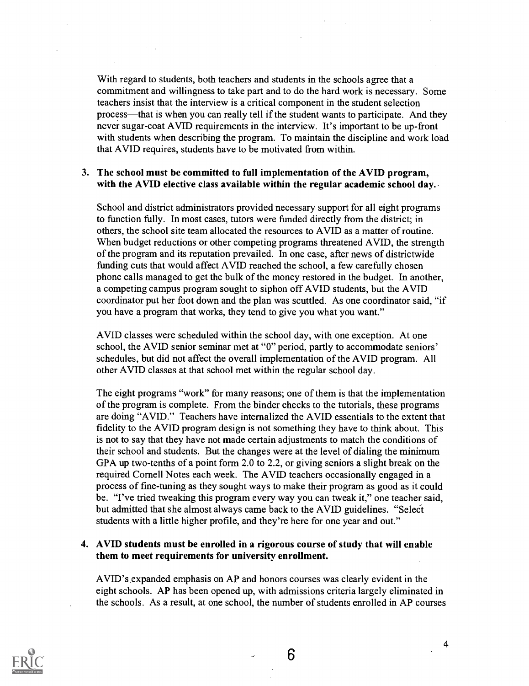With regard to students, both teachers and students in the schools agree that a commitment and willingness to take part and to do the hard work is necessary. Some teachers insist that the interview is a critical component in the student selection process—that is when you can really tell if the student wants to participate. And they never sugar-coat AVID requirements in the interview. It's important to be up-front with students when describing the program. To maintain the discipline and work load that AVID requires, students have to be motivated from within.

### 3. The school must be committed to full implementation of the AVID program, with the AVID elective class available within the regular academic school day.

School and district administrators provided necessary support for all eight programs to function fully. In most cases, tutors were funded directly from the district; in others, the school site team allocated the resources to AVID as a matter of routine. When budget reductions or other competing programs threatened AVID, the strength of the program and its reputation prevailed. In one case, after news of districtwide funding cuts that would affect AVID reached the school, a few carefully chosen phone calls managed to get the bulk of the money restored in the budget. In another, a competing campus program sought to siphon off AVID students, but the AVID coordinator put her foot down and the plan was scuttled. As one coordinator said, "if you have a program that works, they tend to give you what you want."

AVID classes were scheduled within the school day, with one exception. At one school, the AVID senior seminar met at "0" period, partly to accommodate seniors' schedules, but did not affect the overall implementation of the AVID program. All other AVID classes at that school met within the regular school day.

The eight programs "work" for many reasons; one of them is that the implementation of the program is complete. From the binder checks to the tutorials, these programs are doing "AVID." Teachers have internalized the AVID essentials to the extent that fidelity to the AVID program design is not something they have to think about. This is not to say that they have not made certain adjustments to match the conditions of their school and students. But the changes were at the level of dialing the minimum GPA up two-tenths of a point form 2.0 to 2.2, or giving seniors a slight break on the required Cornell Notes each week. The AVID teachers occasionally engaged in a process of fine-tuning as they sought ways to make their program as good as it could be. "I've tried tweaking this program every way you can tweak it," one teacher said, but admitted that she almost always came back to the AVID guidelines. "Seleci students with a little higher profile, and they're here for one year and out."

### 4. AVID students must be enrolled in a rigorous course of study that will enable them to meet requirements for university enrollment.

AVID's expanded emphasis on AP and honors courses was clearly evident in the eight schools. AP has been opened up, with admissions criteria largely eliminated in the schools. As a result, at one school, the number of students enrolled in AP courses

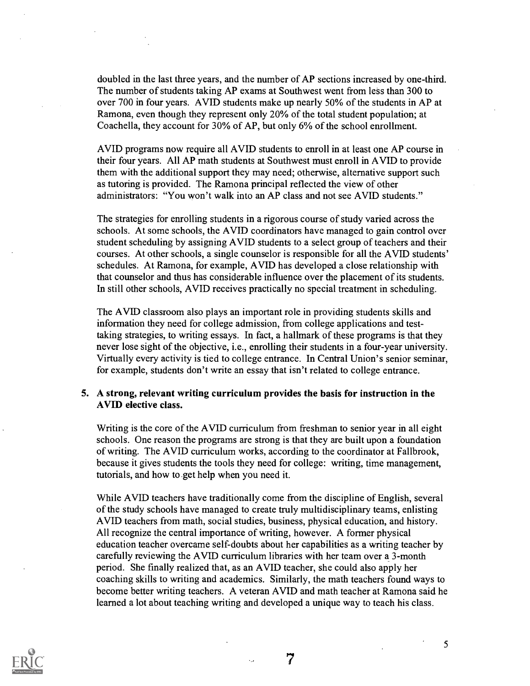doubled in the last three years, and the number of AP sections increased by one-third. The number of students taking AP exams at Southwest went from less than 300 to over 700 in four years. AVID students make up nearly 50% of the students in AP at Ramona, even though they represent only 20% of the total student population; at Coachella, they account for 30% of AP, but only 6% of the school enrollment.

AVID programs now require all AVID students to enroll in at least one AP course in their four years. All AP math students at Southwest must enroll in AVID to provide them with the additional support they may need; otherwise, alternative support such as tutoring is provided. The Ramona principal reflected the view of other administrators: "You won't walk into an AP class and not see AVID students."

The strategies for enrolling students in a rigorous course of study varied across the schools. At some schools, the AVID coordinators have managed to gain control over student scheduling by assigning AVID students to a select group of teachers and their courses. At other schools, a single counselor is responsible for all the AVID students' schedules. At Ramona, for example, AVID has developed a close relationship with that counselor and thus has considerable influence over the placement of its students. In still other schools, AVID receives practically no special treatment in scheduling.

The AVID classroom also plays an important role in providing students skills and information they need for college admission, from college applications and testtaking strategies, to writing essays. In fact, a hallmark of these programs is that they never lose sight of the objective, i.e., enrolling their students in a four-year university. Virtually every activity is tied to college entrance. In Central Union's senior seminar, for example, students don't write an essay that isn't related to college entrance.

### 5. A strong, relevant writing curriculum provides the basis for instruction in the AVID elective class.

Writing is the core of the AVID curriculum from freshman to senior year in all eight schools. One reason the programs are strong is that they are built upon a foundation of writing. The AVID curriculum works, according to the coordinator at Fallbrook, because it gives students the tools they need for college: writing, time management, tutorials, and how to get help when you need it.

While AVID teachers have traditionally come from the discipline of English, several of the study schools have managed to create truly multidisciplinary teams, enlisting AVID teachers from math, social studies, business, physical education, and history. All recognize the central importance of writing, however. A former physical education teacher overcame self-doubts about her capabilities as a writing teacher by carefully reviewing the AVID curriculum libraries with her team over a 3-month period. She finally realized that, as an AVID teacher, she could also apply her coaching skills to writing and academics. Similarly, the math teachers found ways to become better writing teachers. A veteran AVID and math teacher at Ramona said he learned a lot about teaching writing and developed a unique way to teach his class.

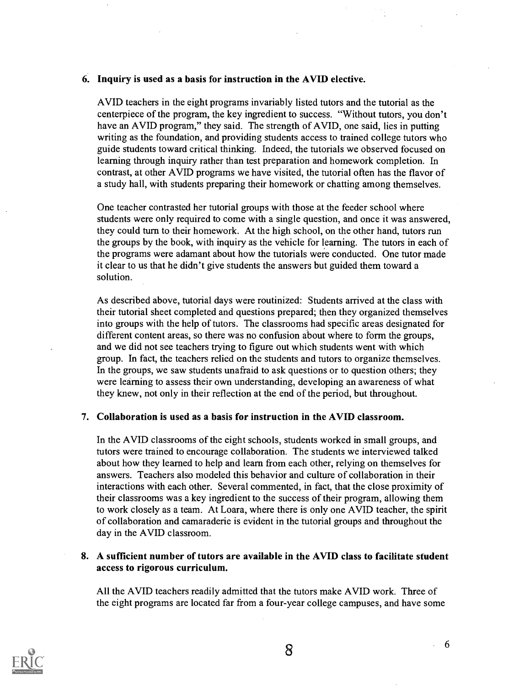### 6. Inquiry is used as a basis for instruction in the AVID elective.

AVID teachers in the eight programs invariably listed tutors and the tutorial as the centerpiece of the program, the key ingredient to success. "Without tutors, you don't have an AVID program," they said. The strength of AVID, one said, lies in putting writing as the foundation, and providing students access to trained college tutors who guide students toward critical thinking. Indeed, the tutorials we observed focused on learning through inquiry rather than test preparation and homework completion. In contrast, at other AVID programs we have visited, the tutorial often has the flavor of a study hall, with students preparing their homework or chatting among themselves.

One teacher contrasted her tutorial groups with those at the feeder school where students were only required to come with a single question, and once it was answered, they could turn to their homework. At the high school, on the other hand, tutors run the groups by the book, with inquiry as the vehicle for learning. The tutors in each of the programs were adamant about how the tutorials were conducted. One tutor made it clear to us that he didn't give students the answers but guided them toward a solution.

As described above, tutorial days were routinized: Students arrived at the class with their tutorial sheet completed and questions prepared; then they organized themselves into groups with the help of tutors. The classrooms had specific areas designated for different content areas, so there was no confusion about where to form the groups, and we did not see teachers trying to figure out which students went with which group. In fact, the teachers relied on the students and tutors to organize themselves. In the groups, we saw students unafraid to ask questions or to question others; they were learning to assess their own understanding, developing an awareness of what they knew, not only in their reflection at the end of the period, but throughout.

### 7. Collaboration is used as a basis for instruction in the AVID classroom.

In the AVID classrooms of the eight schools, students worked in small groups, and tutors were trained to encourage collaboration. The students we interviewed talked about how they learned to help and learn from each other, relying on themselves for answers. Teachers also modeled this behavior and culture of collaboration in their interactions with each other. Several commented, in fact, that the close proximity of their classrooms was a key ingredient to the success of their program, allowing them to work closely as a team. At Loara, where there is only one AVID teacher, the spirit of collaboration and camaraderie is evident in the tutorial groups and throughout the day in the AVID classroom.

### 8. A sufficient number of tutors are available in the AVID class to facilitate student access to rigorous curriculum.

All the AVID teachers readily admitted that the tutors make AVID work. Three of the eight programs are located far from a four-year college campuses, and have some

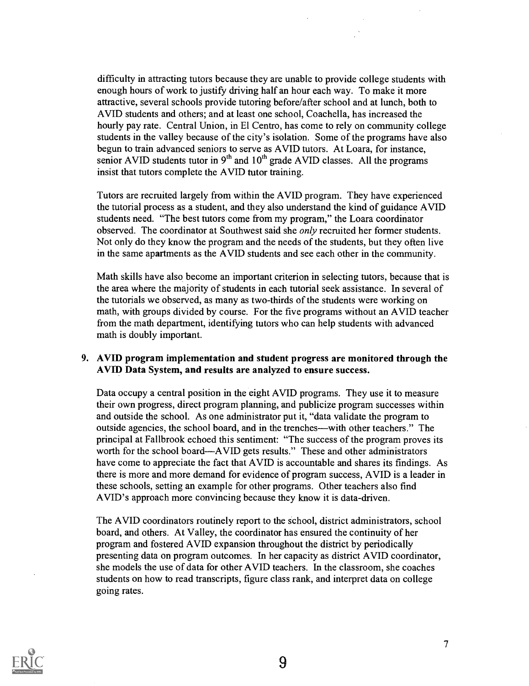difficulty in attracting tutors because they are unable to provide college students with enough hours of work to justify driving half an hour each way. To make it more attractive, several schools provide tutoring before/after school and at lunch, both to AVID students and others; and at least one school, Coachella, has increased the hourly pay rate. Central Union, in El Centro, has come to rely on community college students in the valley because of the city's isolation. Some of the programs have also begun to train advanced seniors to serve as AVID tutors. At Loara, for instance, senior AVID students tutor in  $9<sup>th</sup>$  and  $10<sup>th</sup>$  grade AVID classes. All the programs insist that tutors complete the AVID tutor training.

Tutors are recruited largely from within the AVID program. They have experienced the tutorial process as a student, and they also understand the kind of guidance AVID students need. "The best tutors come from my program," the Loara coordinator observed. The coordinator at Southwest said she only recruited her former students. Not only do they know the program and the needs of the students, but they often live in the same apartments as the AVID students and see each other in the community.

Math skills have also become an important criterion in selecting tutors, because that is the area where the majority of students in each tutorial seek assistance. In several of the tutorials we observed, as many as two-thirds of the students were working on math, with groups divided by course. For the five programs without an AVID teacher from the math department, identifying tutors who can help students with advanced math is doubly important.

### 9. AVID program implementation and student progress are monitored through the AVID Data System, and results are analyzed to ensure success.

Data occupy a central position in the eight AVID programs. They use it to measure their own progress, direct program planning, and publicize program successes within and outside the school. As one administrator put it, "data validate the program to outside agencies, the school board, and in the trenches—with other teachers." The principal at Fallbrook echoed this sentiment: "The success of the program proves its worth for the school board—AVID gets results." These and other administrators have come to appreciate the fact that AVID is accountable and shares its findings. As there is more and more demand for evidence of program success, AVID is a leader in these schools, setting an example for other programs. Other teachers also find AVID's approach more convincing because they know it is data-driven.

The AVID coordinators routinely report to the school, district administrators, school board, and others. At Valley, the coordinator has ensured the continuity of her program and fostered AVID expansion throughout the district by periodically presenting data on program outcomes. In her capacity as district AVID coordinator, she models the use of data for other AVID teachers. In the classroom, she coaches students on how to read transcripts, figure class rank, and interpret data on college going rates.

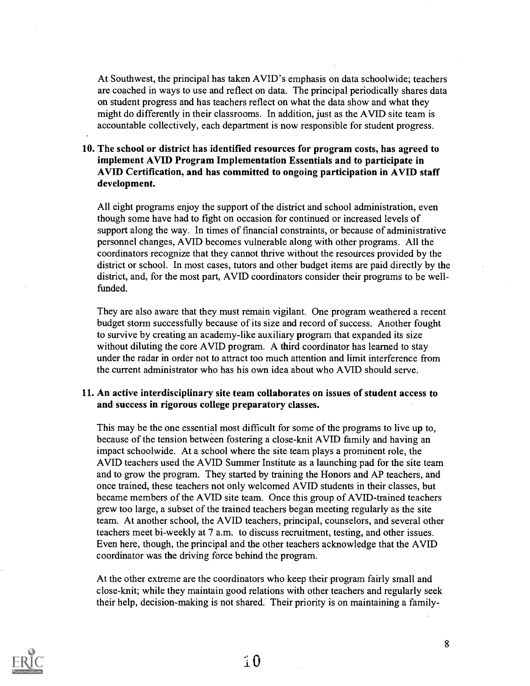At Southwest, the principal has taken AVID's emphasis on data schoolwide; teachers are coached in ways to use and reflect on data. The principal periodically shares data on student progress and has teachers reflect on what the data show and what they might do differently in their classrooms. In addition, just as the AVID site team is accountable collectively, each department is now responsible for student progress.

### 10. The school or district has identified resources for program costs, has agreed to implement AVID Program Implementation Essentials and to participate in AVID Certification, and has committed to ongoing participation in AVID staff development.

All eight programs enjoy the support of the district and school administration, even though some have had to fight on occasion for continued or increased levels of support along the way. In times of financial constraints, or because of administrative personnel changes, AVID becomes vulnerable along with other programs. All the coordinators recognize that they cannot thrive without the resources provided by the district or school. In most cases, tutors and other budget items are paid directly by the district, and, for the most part, AVID coordinators consider their programs to be wellfunded.

They are also aware that they must remain vigilant. One program weathered a recent budget storm successfully because of its size and record of success. Another fought to survive by creating an academy-like auxiliary program that expanded its size without diluting the core AVID program. A third coordinator has learned to stay under the radar in order not to attract too much attention and limit interference from the current administrator who has his own idea about who AVID should serve.

### 11. An active interdisciplinary site team collaborates on issues of student access to and success in rigorous college preparatory classes.

This may be the one essential most difficult for some of the programs to live up to, because of the tension between fostering a close-knit AVID family and having an impact schoolwide. At a school where the site team plays a prominent role, the AVID teachers used the AVID Summer Institute as a launching pad for the site team and to grow the program. They started by training the Honors and AP teachers, and once trained, these teachers not only welcomed AVID students in their classes, but became members of the AVID site team. Once this group of AVID-trained teachers grew too large, a subset of the trained teachers began meeting regularly as the site team. At another school, the AVID teachers, principal, counselors, and several other teachers meet bi-weekly at 7 a.m. to discuss recruitment, testing, and other issues. Even here, though, the principal and the other teachers acknowledge that the AVID coordinator was the driving force behind the program.

At the other extreme are the coordinators who keep their program fairly small and close-knit; while they maintain good relations with other teachers and regularly seek their help, decision-making is not shared. Their priority is on maintaining a family-

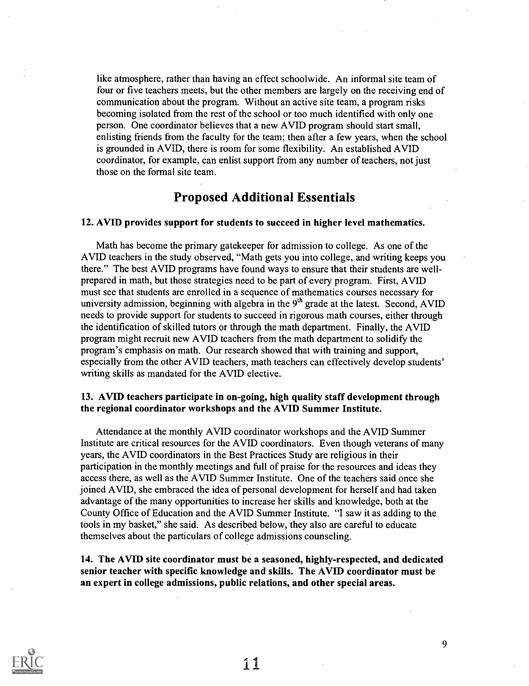like atmosphere, rather than having an effect schoolwide. An informal site team of four or five teachers meets, but the other members are largely on the receiving end of communication about the program. Without an active site team, a program risks becoming isolated from the rest of the school or too much identified with only one person. One coordinator believes that a new AVID program should start small, enlisting friends from the faculty for the team; then after a few years, when the school is grounded in AVID, there is room for some flexibility. An established AVID coordinator, for example, can enlist support from any number of teachers, not just those on the formal site team.

### Proposed Additional Essentials

### 12. AVID provides support for students to succeed in higher level mathematics.

Math has become the primary gatekeeper for admission to college. As one of the AVID teachers in the study observed, "Math gets you into college, and writing keeps you there." The best AVID programs have found ways to ensure that their students are wellprepared in math, but those strategies need to be part of every program. First, AVID must see that students are enrolled in a sequence of mathematics courses necessary for university admission, beginning with algebra in the  $9<sup>th</sup>$  grade at the latest. Second, AVID needs to provide support for students to succeed in rigorous math courses, either through the identification of skilled tutors or through the math department. Finally, the AVID program might recruit new AVID teachers from the math department to solidify the program's emphasis on math. Our research showed that with training and support, especially from the other AVID teachers, math teachers can effectively develop students' writing skills as mandated for the AVID elective.

### 13. AVID teachers participate in on-going, high quality staff development through the regional coordinator workshops and the AVID Summer Institute.

Attendance at the monthly AVID coordinator workshops and the AVID Summer Institute are critical resources for the AVID coordinators. Even though veterans of many years, the AVID coordinators in the Best Practices Study are religious in their participation in the monthly meetings and full of praise for the resources and ideas they access there, as well as the AVID Summer Institute. One of the teachers said once she joined AVID, she embraced the idea of personal development for herself and had taken advantage of the many opportunities to increase her skills and knowledge, both at the County Office of Education and the AVID Summer Institute. "I saw it as adding to the tools in my basket," she said. As described below, they also are careful to educate themselves about the particulars of college admissions counseling.

14. The AVID site coordinator must be a seasoned, highly-respected, and dedicated senior teacher with specific knowledge and skills. The AVID coordinator must be an expert in college admissions, public relations, and other special areas.

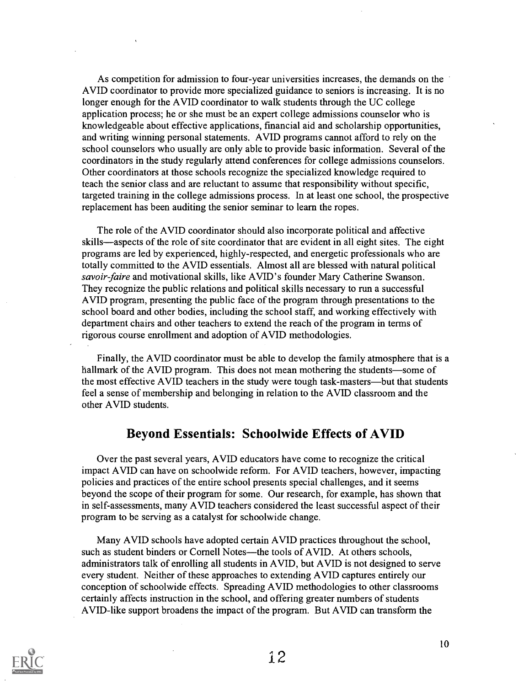As competition for admission to four-year universities increases, the demands on the AVID coordinator to provide more specialized guidance to seniors is increasing. It is no longer enough for the AVID coordinator to walk students through the UC college application process; he or she must be an expert college admissions counselor who is knowledgeable about effective applications, financial aid and scholarship opportunities, and writing winning personal statements. AVID programs cannot afford to rely on the school counselors who usually are only able to provide basic information. Several of the coordinators in the study regularly attend conferences for college admissions counselors. Other coordinators at those schools recognize the specialized knowledge required to teach the senior class and are reluctant to assume that responsibility without specific, targeted training in the college admissions process. In at least one school, the prospective replacement has been auditing the senior seminar to learn the ropes.

The role of the AVID coordinator should also incorporate political and affective skills—aspects of the role of site coordinator that are evident in all eight sites. The eight programs are led by experienced, highly-respected, and energetic professionals who are totally committed to the AVID essentials. Almost all are blessed with natural political savoir-faire and motivational skills, like AVID's founder Mary Catherine Swanson. They recognize the public relations and political skills necessary to run a successful AVID program, presenting the public face of the program through presentations to the school board and other bodies, including the school staff, and working effectively with department chairs and other teachers to extend the reach of the program in terms of rigorous course enrollment and adoption of AVID methodologies.

Finally, the AVID coordinator must be able to develop the family atmosphere that is a hallmark of the AVID program. This does not mean mothering the students—some of the most effective AVID teachers in the study were tough task-masters—but that students feel a sense of membership and belonging in relation to the AVID classroom and the other AVID students.

### Beyond Essentials: Schoolwide Effects of AVID

Over the past several years, AVID educators have come to recognize the critical impact AVID can have on schoolwide reform. For AVID teachers, however, impacting policies and practices of the entire school presents special challenges, and it seems beyond the scope of their program for some. Our research, for example, has shown that in self-assessments, many AVID teachers considered the least successful aspect of their program to be serving as a catalyst for schoolwide change.

Many AVID schools have adopted certain AVID practices throughout the school, such as student binders or Cornell Notes—the tools of AVID. At others schools, administrators talk of enrolling all students in AVID, but AVID is not designed to serve every student. Neither of these approaches to extending AVID captures entirely our conception of schoolwide effects. Spreading AVID methodologies to other classrooms certainly affects instruction in the school, and offering greater numbers of students AVID-like support broadens the impact of the program. But AVID can transform the

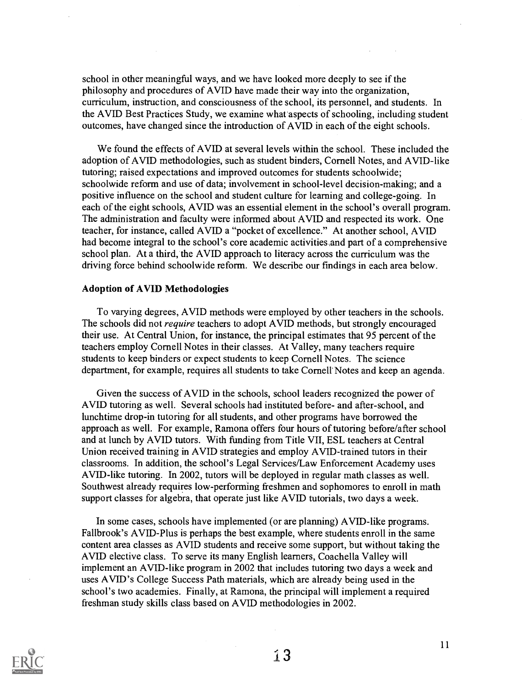school in other meaningful ways, and we have looked more deeply to see if the philosophy and procedures of AVID have made their way into the organization, curriculum, instruction, and consciousness of the school, its personnel, and students. In the AVID Best Practices Study, we examine what aspects of schooling, including student outcomes, have changed since the introduction of AVID in each of the eight schools.

We found the effects of AVID at several levels within the school. These included the adoption of AVID methodologies, such as student binders, Cornell Notes, and AVID-like tutoring; raised expectations and improved outcomes for students schoolwide; schoolwide reform and use of data; involvement in school-level decision-making; and a positive influence on the school and student culture for learning and college-going. In each of the eight schools, AVID was an essential element in the school's overall program. The administration and faculty were informed about AVID and respected its work. One teacher, for instance, called AVID a "pocket of excellence." At another school, AVID had become integral to the school's core academic activities and part of a comprehensive school plan. At a third, the AVID approach to literacy across the curriculum was the driving force behind schoolwide reform. We describe our findings in each area below.

### Adoption of AVID Methodologies

To varying degrees, AVID methods were employed by other teachers in the schools. The schools did not *require* teachers to adopt AVID methods, but strongly encouraged their use. At Central Union, for instance, the principal estimates that 95 percent of the teachers employ Cornell Notes in their classes. At Valley, many teachers require students to keep binders or expect students to keep Cornell Notes. The science department, for example, requires all students to take Cornell'Notes and keep an agenda.

Given the success of AVID in the schools, school leaders recognized the power of AVID tutoring as well. Several schools had instituted before- and after-school, and lunchtime drop-in tutoring for all students, and other programs have borrowed the approach as well. For example, Ramona offers four hours of tutoring before/after school and at lunch by AVID tutors. With funding from Title VII, ESL teachers at Central Union received training in AVID strategies and employ AVID-trained tutors in their classrooms. In addition, the school's Legal Services/Law Enforcement Academy uses AVID-like tutoring. In 2002, tutors will be deployed in regular math classes as well. Southwest already requires low-performing freshmen and sophomores to enroll in math support classes for algebra, that operate just like AVID tutorials, two days a week.

In some cases, schools have implemented (or are planning) AVID-like programs. Fallbrook's AVID-Plus is perhaps the best example, where students enroll in the same content area classes as AVID students and receive some support, but without taking the AVID elective class. To serve its many English learners, Coachella Valley will implement an AVID-like program in 2002 that includes tutoring two days a week and uses AVID's College Success Path materials, which are already being used in the school's two academies. Finally, at Ramona, the principal will implement a required freshman study skills class based on AVID methodologies in 2002.

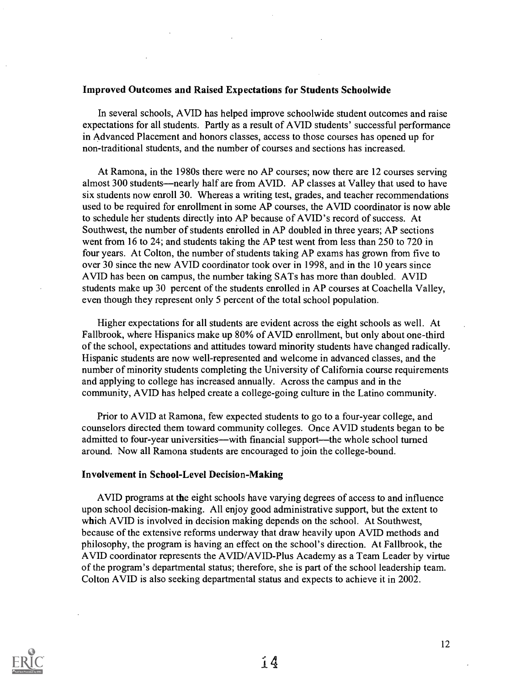### Improved Outcomes and Raised Expectations for Students Schoolwide

In several schools, AVID has helped improve schoolwide student outcomes and raise expectations for all students. Partly as a result of AVID students' successful performance in Advanced Placement and honors classes, access to those courses has opened up for non-traditional students, and the number of courses and sections has increased.

At Ramona, in the 1980s there were no AP courses; now there are 12 courses serving almost 300 students—nearly half are from AVID. AP classes at Valley that used to have six students now enroll 30. Whereas a writing test, grades, and teacher recommendations used to be required for enrollment in some AP courses, the AVID coordinator is now able to schedule her students directly into AP because of AVID's record of success. At Southwest, the number of students enrolled in AP doubled in three years; AP sections went from 16 to 24; and students taking the AP test went from less than 250 to 720 in four years. At Colton, the number of students taking AP exams has grown from five to over 30 since the new AVID coordinator took over in 1998, and in the 10 years since AVID has been on campus, the number taking SATs has more than doubled. AVID students make up 30 percent of the students enrolled in AP courses at Coachella Valley, even though they represent only 5 percent of the total school population.

Higher expectations for all students are evident across the eight schools as well. At Fallbrook, where Hispanics make up 80% of AVID enrollment, but only about one-third of the school, expectations and attitudes toward minority students have changed radically. Hispanic students are now well-represented and welcome in advanced classes, and the number of minority students completing the University of California course requirements and applying to college has increased annually. Across the campus and in the community, AVID has helped create a college-going culture in the Latino community.

Prior to AVID at Ramona, few expected students to go to a four-year college, and counselors directed them toward community colleges. Once AVID students began to be admitted to four-year universities—with financial support—the whole school turned around. Now all Ramona students are encouraged to join the college-bound.

### Involvement in School-Level Decision-Making

AVID programs at the eight schools have varying degrees of access to and influence upon school decision-making. All enjoy good administrative support, but the extent to which AVID is involved in decision making depends on the school. At Southwest, because of the extensive reforms underway that draw heavily upon AVID methods and philosophy, the program is having an effect on the school's direction. At Fallbrook, the AVID coordinator represents the AVID/AVID-Plus Academy as a Team Leader by virtue of the program's departmental status; therefore, she is part of the school leadership team. Colton AVID is also seeking departmental status and expects to achieve it in 2002.

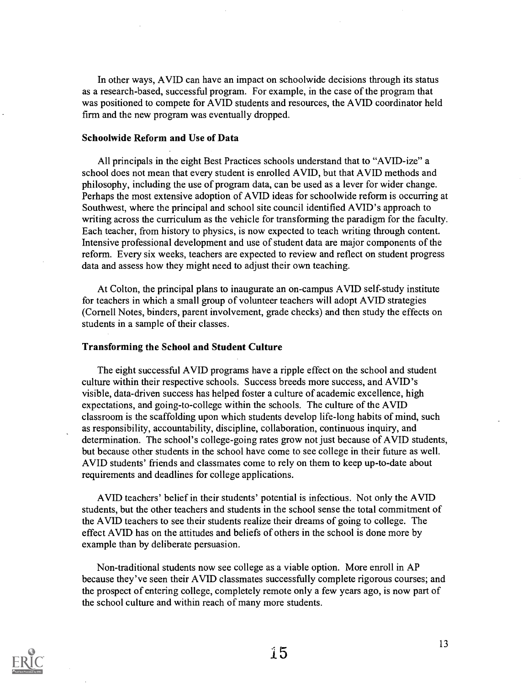In other ways, AVID can have an impact on schoolwide decisions through its status as a research-based, successful program. For example, in the case of the program that was positioned to compete for AVID students and resources, the AVID coordinator held firm and the new program was eventually dropped.

### Schoolwide Reform and Use of Data

All principals in the eight Best Practices schools understand that to "AVID-ize" a school does not mean that every student is enrolled AVID, but that AVID methods and philosophy, including the use of program data, can be used as a lever for wider change. Perhaps the most extensive adoption of AVID ideas for schoolwide reform is occurring at Southwest, where the principal and school site council identified AVID's approach to writing across the curriculum as the vehicle for transforming the paradigm for the faculty. Each teacher, from history to physics, is now expected to teach writing through content. Intensive professional development and use of student data are major components of the reform. Every six weeks, teachers are expected to review and reflect on student progress data and assess how they might need to adjust their own teaching.

At Colton, the principal plans to inaugurate an on-campus AVID self-study institute for teachers in which a small group of volunteer teachers will adopt AVID strategies (Cornell Notes, binders, parent involvement, grade checks) and then study the effects on students in a sample of their classes.

### Transforming the School and Student Culture

The eight successful AVID programs have a ripple effect on the school and student culture within their respective schools. Success breeds more success, and AVID's visible, data-driven success has helped foster a culture of academic excellence, high expectations, and going-to-college within the schools. The culture of the AVID classroom is the scaffolding upon which students develop life-long habits of mind, such as responsibility, accountability, discipline, collaboration, continuous inquiry, and determination. The school's college-going rates grow not just because of AVID students, but because other students in the school have come to see college in their future as well. AVID students' friends and classmates come to rely on them to keep up-to-date about requirements and deadlines for college applications.

AVID teachers' belief in their students' potential is infectious. Not only the AVID students, but the other teachers and students in the school sense the total commitment of the AVID teachers to see their students realize their dreams of going to college. The effect AVID has on the attitudes and beliefs of others in the school is done more by example than by deliberate persuasion.

Non-traditional students now see college as a viable option. More enroll in AP because they've seen their AVID classmates successfully complete rigorous courses; and the prospect of entering college, completely remote only a few years ago, is now part of the school culture and within reach of many more students.

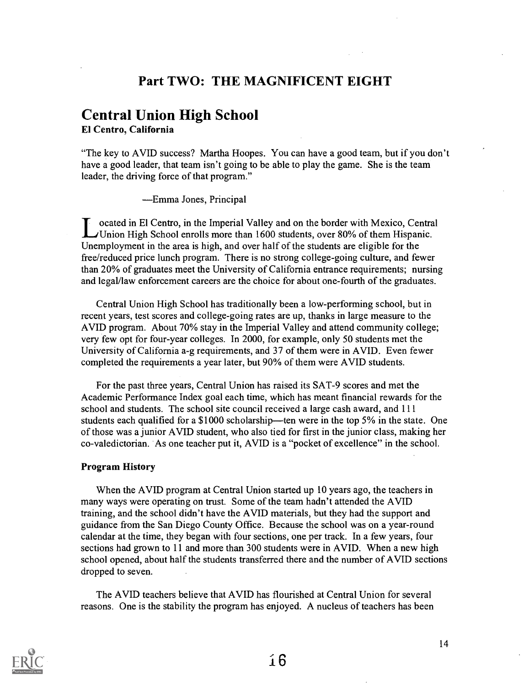### Part TWO: THE MAGNIFICENT EIGHT

# Central Union High School

El Centro, California

"The key to AVID success? Martha Hoopes. You can have a good team, but if you don't have a good leader, that team isn't going to be able to play the game. She is the team leader, the driving force of that program."

Emma Jones, Principal

ocated in El Centro, in the Imperial Valley and on the border with Mexico, Central LUnion High School enrolls more than 1600 students, over 80% of them Hispanic. Unemployment in the area is high, and over half of the students are eligible for the free/reduced price lunch program. There is no strong college-going culture, and fewer than 20% of graduates meet the University of California entrance requirements; nursing and legal/law enforcement careers are the choice for about one-fourth of the graduates.

Central Union High School has traditionally been a low-performing school, but in recent years, test scores and college-going rates are up, thanks in large measure to the AVID program. About 70% stay in the Imperial Valley and attend community college; very few opt for four-year colleges. In 2000, for example, only 50 students met the University of California a-g requirements, and 37 of them were in AVID. Even fewer completed the requirements a year later, but 90% of them were AVID students.

For the past three years, Central Union has raised its SAT-9 scores and met the Academic Performance Index goal each time, which has meant financial rewards for the school and students. The school site council received a large cash award, and 111 students each qualified for a  $$1000$  scholarship—ten were in the top 5% in the state. One of those was a junior AVID student, who also tied for first in the junior class, making her co-valedictorian. As one teacher put it, AVID is a "pocket of excellence" in the school.

### Program History

When the AVID program at Central Union started up 10 years ago, the teachers in many ways were operating on trust. Some of the team hadn't attended the AVID training, and the school didn't have the AVID materials, but they had the support and guidance from the San Diego County Office. Because the school was on a year-round calendar at the time, they began with four sections, one per track. In a few years, four sections had grown to 11 and more than 300 students were in AVID. When a new high school opened, about half the students transferred there and the number of AVID sections dropped to seven.

The AVID teachers believe that AVID has flourished at Central Union for several reasons. One is the stability the program has enjoyed. A nucleus of teachers has been

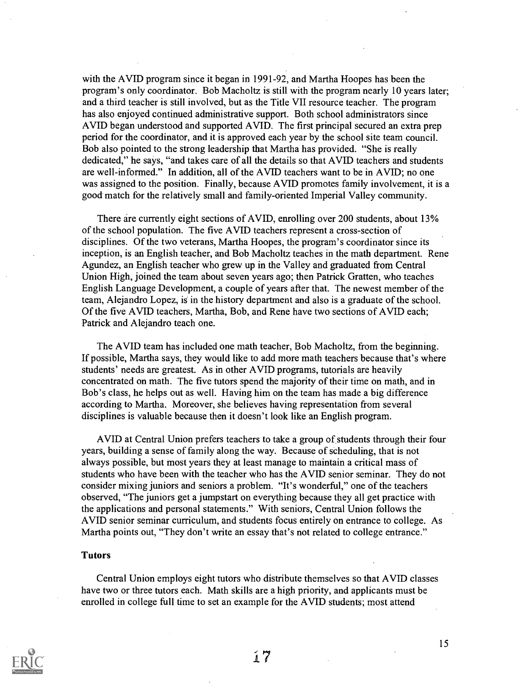with the AVID program since it began in 1991-92, and Martha Hoopes has been the program's only coordinator. Bob Macholtz is still with the program nearly 10 years later; and a third teacher is still involved, but as the Title VII resource teacher. The program has also enjoyed continued administrative support. Both school administrators since AVID began understood and supported AVID. The first principal secured an extra prep period for the coordinator, and it is approved each year by the school site team council. Bob also pointed to the strong leadership that Martha has provided. "She is really dedicated," he says, "and takes care of all the details so that AVID teachers and students are well-informed." In addition, all of the AVID teachers want to be in AVID; no one was assigned to the position. Finally, because AVID promotes family involvement, it is a good match for the relatively small and family-oriented Imperial Valley community.

There are currently eight sections of AVID, enrolling over 200 students, about 13% of the school population. The five AVID teachers represent a cross-section of disciplines. Of the two veterans, Martha Hoopes, the program's coordinator since its inception, is an English teacher, and Bob Macholtz teaches in the math department. Rene Agundez, an English teacher who grew up in the Valley and graduated from Central Union High, joined the team about seven years ago; then Patrick Gratten, who teaches English Language Development, a couple of years after that. The newest member of the team, Alejandro Lopez, is in the history department and also is a graduate of the school. Of the five AVID teachers, Martha, Bob, and Rene have two sections of AVID each; Patrick and Alejandro teach one.

The AVID team has included one math teacher, Bob Macholtz, from the beginning. If possible, Martha says, they would like to add more math teachers because that's where students' needs are greatest. As in other AVID programs, tutorials are heavily concentrated on math. The five tutors spend the majority of their time on math, and in Bob's class, he helps out as well. Having him on the team has made a big difference according to Martha. Moreover, she believes having representation from several disciplines is valuable because then it doesn't look like an English program.

AVID at Central Union prefers teachers to take a group of students through their four years, building a sense of family along the way. Because of scheduling, that is not always possible, but most years they at least manage to maintain a critical mass of students who have been with the teacher who has the AVID senior seminar. They do not consider mixing juniors and seniors a problem. "It's wonderful," one of the teachers observed, "The juniors get a jumpstart on everything because they all get practice with the applications and personal statements." With seniors, Central Union follows the AVID senior seminar curriculum, and students focus entirely on entrance to college. As Martha points out, "They don't write an essay that's not related to college entrance."

#### Tutors

Central Union employs eight tutors who distribute themselves so that AVID classes have two or three tutors each. Math skills are a high priority, and applicants must be enrolled in college full time to set an example for the AVID students; most attend

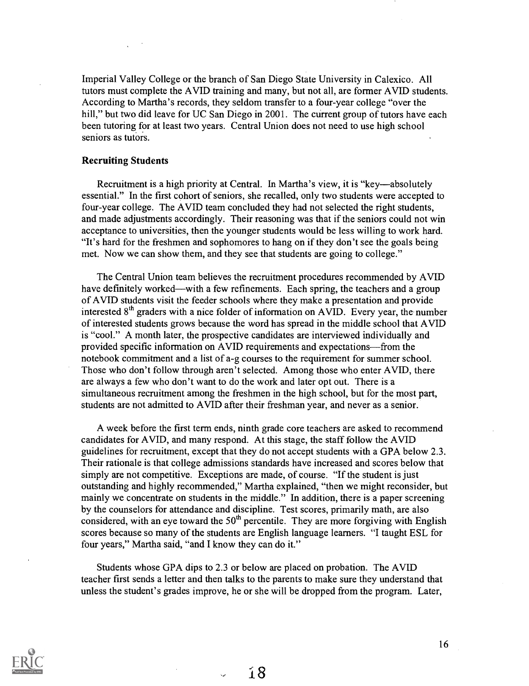Imperial Valley College or the branch of San Diego State University in Calexico. All tutors must complete the AVID training and many, but not all, are former AVID students. According to Martha's records, they seldom transfer to a four-year college "over the hill," but two did leave for UC San Diego in 2001. The current group of tutors have each been tutoring for at least two years. Central Union does not need to use high school seniors as tutors.

### Recruiting Students

Recruitment is a high priority at Central. In Martha's view, it is "key—absolutely" essential." In the first cohort of seniors, she recalled, only two students were accepted to four-year college. The AVID team concluded they had not selected the right students, and made adjustments accordingly. Their reasoning was that if the seniors could not win acceptance to universities, then the younger students would be less willing to work hard. "It's hard for the freshmen and sophomores to hang on if they don't see the goals being met. Now we can show them, and they see that students are going to college."

The Central Union team believes the recruitment procedures recommended by AVID have definitely worked—with a few refinements. Each spring, the teachers and a group of AVID students visit the feeder schools where they make a presentation and provide interested 8<sup>th</sup> graders with a nice folder of information on AVID. Every year, the number of interested students grows because the word has spread in the middle school that AVID is "cool." A month later, the prospective candidates are interviewed individually and provided specific information on AVID requirements and expectations—from the notebook commitment and a list of a-g courses to the requirement for summer school. Those who don't follow through aren't selected. Among those who enter AVID, there are always a few who don't want to do the work and later opt out. There is a simultaneous recruitment among the freshmen in the high school, but for the most part, students are not admitted to AVID after their freshman year, and never as a senior.

A week before the first term ends, ninth grade core teachers are asked to recommend candidates for AVID, and many respond. At this stage, the staff follow the AVID guidelines for recruitment, except that they do not accept students with a GPA below 2.3. Their rationale is that college admissions standards have increased and scores below that simply are not competitive. Exceptions are made, of course. "If the student is just outstanding and highly recommended," Martha explained, "then we might reconsider, but mainly we concentrate on students in the middle." In addition, there is a paper screening by the counselors for attendance and discipline. Test scores, primarily math, are also considered, with an eye toward the  $50<sup>th</sup>$  percentile. They are more forgiving with English scores because so many of the students are English language learners. "I taught ESL for four years," Martha said, "and I know they can do it."

Students whose GPA dips to 2.3 or below are placed on probation. The AVID teacher first sends a letter and then talks to the parents to make sure they understand that unless the student's grades improve, he or she will be dropped from the program. Later,

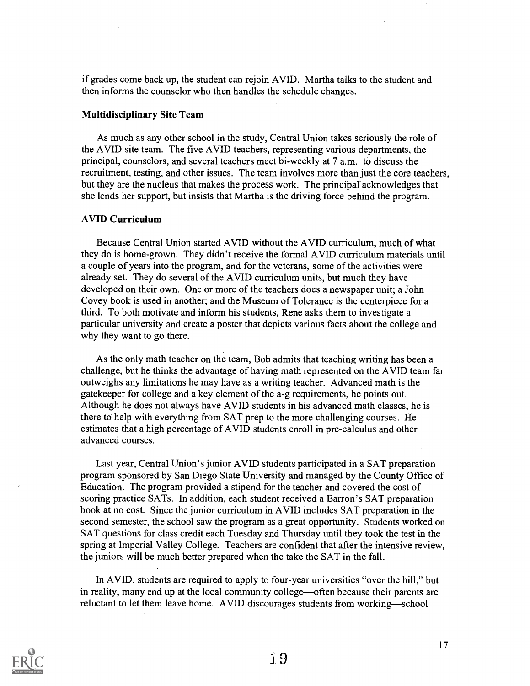if grades come back up, the student can rejoin AVID. Martha talks to the student and then informs the counselor who then handles the schedule changes.

### Multidisciplinary Site Team

As much as any other school in the study, Central Union takes seriously the role of the AVID site team. The five AVID teachers, representing various departments, the principal, counselors, and several teachers meet bi-weekly at 7 a.m. to discuss the recruitment, testing, and other issues. The team involves more than just the core teachers, but they are the nucleus that makes the process work. The principal acknowledges that she lends her support, but insists that Martha is the driving force behind the program.

### AVID Curriculum

Because Central Union started AVID without the AVID curriculum, much of what they do is home-grown. They didn't receive the formal AVID curriculum materials until a couple of years into the program, and for the veterans, some of the activities were already set. They do several of the AVID curriculum units, but much they have developed on their own. One or more of the teachers does a newspaper unit; a John Covey book is used in another; and the Museum of Tolerance is the centerpiece for a third. To both motivate and inform his students, Rene asks them to investigate a particular university and create a poster that depicts various facts about the college and why they want to go there.

As the only math teacher on the team, Bob admits that teaching writing has been a challenge, but he thinks the advantage of having math represented on the AVID team far outweighs any limitations he may have as a writing teacher. Advanced math is the gatekeeper for college and a key element of the a-g requirements, he points out. Although he does not always have AVID students in his advanced math classes, he is there to help with everything from SAT prep to the more challenging courses. He estimates that a high percentage of AVID students enroll in pre-calculus and other advanced courses.

Last year, Central Union's junior AVID students participated in a SAT preparation program sponsored by San Diego State University and managed by the County Office of Education. The program provided a stipend for the teacher and covered the cost of scoring practice SATs. In addition, each student received a Barron's SAT preparation book at no cost. Since the junior curriculum in AVID includes SAT preparation in the second semester, the school saw the program as a great opportunity. Students worked on SAT questions for class credit each Tuesday and Thursday until they took the test in the spring at Imperial Valley College. Teachers are confident that after the intensive review, the juniors will be much better prepared when the take the SAT in the fall.

In AVID, students are required to apply to four-year universities "over the hill," but in reality, many end up at the local community college--often because their parents are reluctant to let them leave home. AVID discourages students from working—school

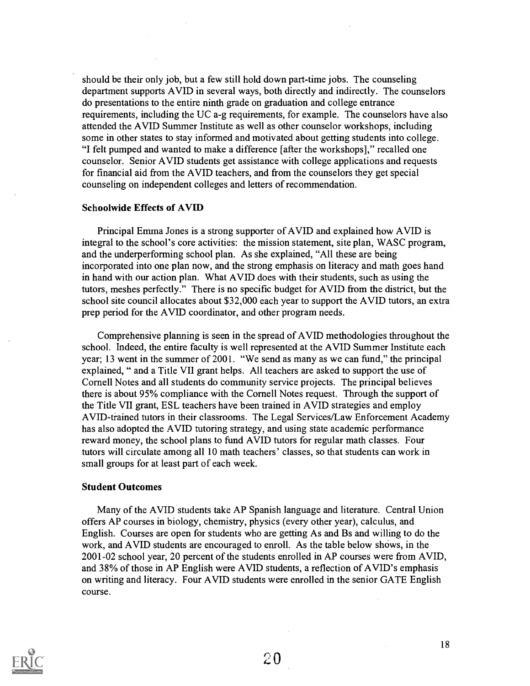should be their only job, but a few still hold down part-time jobs. The counseling department supports AVID in several ways, both directly and indirectly. The counselors do presentations to the entire ninth grade on graduation and college entrance requirements, including the UC a-g requirements, for example. The counselors have also attended the AVID Summer Institute as well as other counselor workshops, including some in other states to stay informed and motivated about getting students into college. "I felt pumped and wanted to make a difference [after the workshops]," recalled one counselor. Senior AVID students get assistance with college applications and requests for financial aid from the AVID teachers, and from the counselors they get special counseling on independent colleges and letters of recommendation.

### Schoolwide Effects of AVID

Principal Emma Jones is a strong supporter of AVID and explained how AVID is integral to the school's core activities: the mission statement, site plan, WASC program, and the underperforming school plan. As she explained, "All these are being incorporated into one plan now, and the strong emphasis on literacy and math goes hand in hand with our action plan. What AVID does with their students, such as using the tutors, meshes perfectly." There is no specific budget for AVID from the district, but the school site council allocates about \$32,000 each year to support the AVID tutors, an extra prep period for the AVID coordinator, and other program needs.

Comprehensive planning is seen in the spread of AVID methodologies throughout the school. Indeed, the entire faculty is well represented at the AVID Summer Institute each year; 13 went in the summer of 2001. "We send as many as we can fund," the principal explained, " and a Title VII grant helps. All teachers are asked to support the use of Cornell Notes and all students do community service projects. The principal believes there is about 95% compliance with the Cornell Notes request. Through the support of the Title VII grant, ESL teachers have been trained in AVID strategies and employ AVID-trained tutors in their classrooms. The Legal Services/Law Enforcement Academy has also adopted the AVID tutoring strategy, and using state academic performance reward money, the school plans to fund AVID tutors for regular math classes. Four tutors will circulate among all 10 math teachers' classes, so that students can work in small groups for at least part of each week.

### Student Outcomes

Many of the AVID students take AP Spanish language and literature. Central Union offers AP courses in biology, chemistry, physics (every other year), calculus, and English. Courses are open for students who are getting As and Bs and willing to do the work, and AVID students are encouraged to enroll. As the table below shows, in the 2001-02 school year, 20 percent of the students enrolled in AP courses were from AVID, and 38% of those in AP English were AVID students, a reflection of AVID's emphasis on writing and literacy. Four AVID students were enrolled in the senior GATE English course.

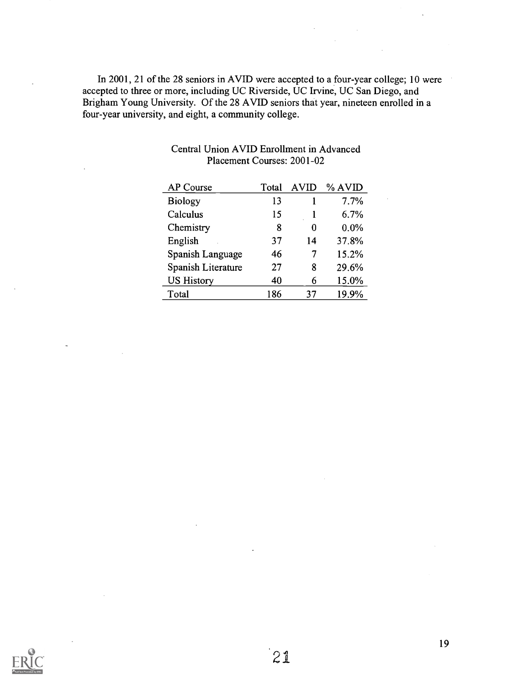In 2001, 21 of the 28 seniors in AVID were accepted to a four-year college; 10 were accepted to three or more, including UC Riverside, UC Irvine, UC San Diego, and Brigham Young University. Of the 28 AVID seniors that year, nineteen enrolled in a four-year university, and eight, a community college.

| AP Course          | Total | <b>AVID</b> | % AVID |  |
|--------------------|-------|-------------|--------|--|
| <b>Biology</b>     | 13    |             | 7.7%   |  |
| Calculus           | 15    |             | 6.7%   |  |
| Chemistry          | 8     | 0           | 0.0%   |  |
| English            | 37    | 14          | 37.8%  |  |
| Spanish Language   | 46    |             | 15.2%  |  |
| Spanish Literature | 27    | 8           | 29.6%  |  |
| <b>US History</b>  | 40    | 6           | 15.0%  |  |
| Total              | 186   | 37          | 19.9%  |  |

### Central Union AVID Enrollment in Advanced Placement Courses: 2001-02

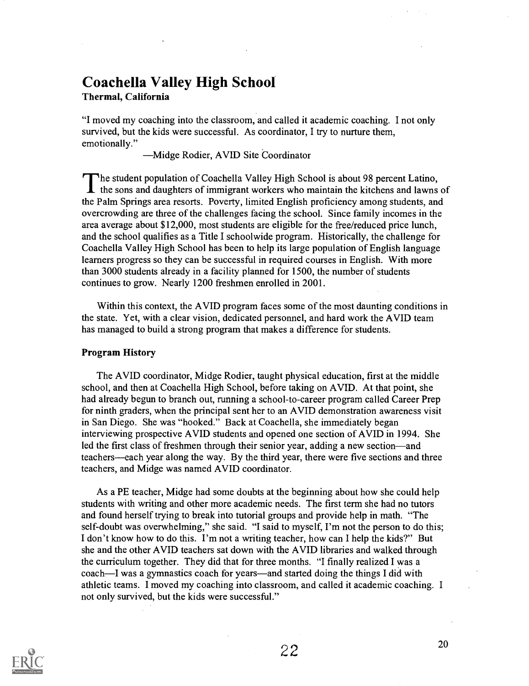# Coachella Valley High School

### Thermal, California

"I moved my coaching into the classroom, and called it academic coaching. I not only survived, but the kids were successful. As coordinator, I try to nurture them, emotionally."

Midge Rodier, AVID Site Coordinator

The student population of Coachella Valley High School is about 98 percent Latino, the sons and daughters of immigrant workers who maintain the kitchens and lawns of the Palm Springs area resorts. Poverty, limited English proficiency among students, and overcrowding are three of the challenges facing the school. Since family incomes in the area average about \$12,000, most students are eligible for the free/reduced price lunch, and the school qualifies as a Title I schoolwide program. Historically, the challenge for Coachella Valley High School has been to help its large population of English language learners progress so they can be successful in required courses in English. With more than 3000 students already in a facility planned for 1500, the number of students continues to grow. Nearly 1200 freshmen enrolled in 2001.

Within this context, the AVID program faces some of the most daunting conditions in the state. Yet, with a clear vision, dedicated personnel, and hard work the AVID team has managed to build a strong program that makes a difference for students.

### Program History

The AVID coordinator, Midge Rodier, taught physical education, first at the middle school, and then at Coachella High School, before taking on AVID. At that point, she had already begun to branch out, running a school-to-career program called Career Prep for ninth graders, when the principal sent her to an AVID demonstration awareness visit in San Diego. She was "hooked." Back at Coachella, she immediately began interviewing prospective AVID students and opened one section of AVID in 1994. She led the first class of freshmen through their senior year, adding a new section—and teachers—each year along the way. By the third year, there were five sections and three teachers, and Midge was named AVID coordinator.

As a PE teacher, Midge had some doubts at the beginning about how she could help students with writing and other more academic needs. The first term she had no tutors and found herself trying to break into tutorial groups and provide help in math. "The self-doubt was overwhelming," she said. "I said to myself, I'm not the person to do this; I don't know how to do this. I'm not a writing teacher, how can I help the kids?" But she and the other AVID teachers sat down with the AVID libraries and walked through the curriculum together. They did that for three months. "I finally realized I was a coach—I was a gymnastics coach for years—and started doing the things I did with athletic teams. I moved my coaching into classroom, and called it academic coaching. I not only survived, but the kids were successful."

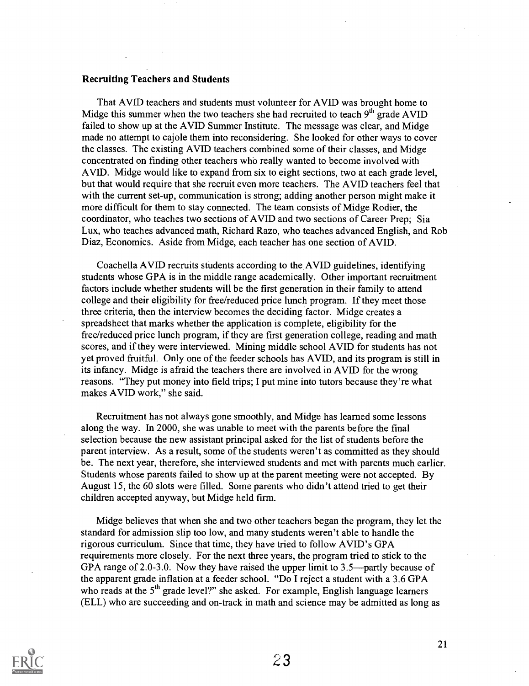### Recruiting Teachers and Students

That AVID teachers and students must volunteer for AVID was brought home to Midge this summer when the two teachers she had recruited to teach  $9<sup>th</sup>$  grade AVID failed to show up at the AVID Summer Institute. The message was clear, and Midge made no attempt to cajole them into reconsidering. She looked for other ways to cover the classes. The existing AVID teachers combined some of their classes, and Midge concentrated on finding other teachers whb really wanted to become involved with AVID. Midge would like to expand from six to eight sections, two at each grade level, but that would require that she recruit even more teachers. The AVID teachers feel that with the current set-up, communication is strong; adding another person might make it more difficult for them to stay connected. The team consists of Midge Rodier, the coordinator, who teaches two sections of AVID and two sections of Career Prep; Sia Lux, who teaches advanced math, Richard Razo, who teaches advanced English, and Rob Diaz, Economics. Aside from Midge, each teacher has one section of AVID.

Coachella AVID recruits students according to the AVID guidelines, identifying students whose GPA is in the middle range academically. Other important recruitment factors include whether students will be the first generation in their family to attend college and their eligibility for free/reduced price lunch program. If they meet those three criteria, then the interview becomes the deciding factor. Midge creates a spreadsheet that marks whether the application is complete, eligibility for the free/reduced price lunch program, if they are first generation college, reading and math scores, and if they were interviewed. Mining middle school AVID for students has not yet proved fruitful. Only one of the feeder schools has AVID, and its program is still in its infancy. Midge is afraid the teachers there are involved in AVID for the wrong reasons. "They put money into field trips; I put mine into tutors because they're what makes AVID work," she said.

Recruitment has not always gone smoothly, and Midge has learned some lessons along the way. In 2000, she was unable to meet with the parents before the final selection because the new assistant principal asked for the list of students before the parent interview. As a result, some of the students weren't as committed as they should be. The next year, therefore, she interviewed students and met with parents much earlier. Students whose parents failed to show up at the parent meeting were not accepted. By August 15, the 60 slots were filled. Some parents who didn't attend tried to get their children accepted anyway, but Midge held firm.

Midge believes that when she and two other teachers began the program, they let the standard for admission slip too low, and many students weren't able to handle the rigorous curriculum. Since that time, they have tried to follow AVID's GPA requirements more closely. For the next three years, the program tried to stick to the GPA range of 2.0-3.0. Now they have raised the upper limit to  $3.5$ —partly because of the apparent grade inflation at a feeder school. "Do I reject a student with a 3.6 GPA who reads at the 5<sup>th</sup> grade level?" she asked. For example, English language learners (ELL) who are succeeding and on-track in math and science may be admitted as long as

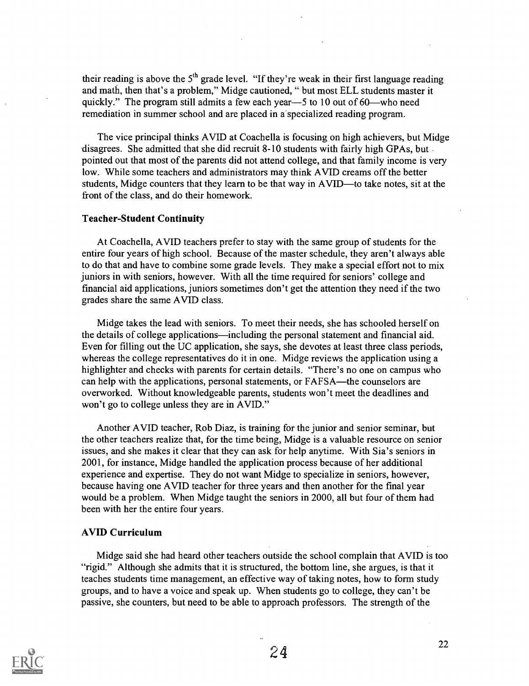their reading is above the  $5<sup>th</sup>$  grade level. "If they're weak in their first language reading and math, then that's a problem," Midge cautioned, " but most ELL students master it quickly." The program still admits a few each year- $-5$  to 10 out of 60—who need remediation in summer school and are placed in a specialized reading program.

The vice principal thinks AVID at Coachella is focusing on high achievers, but Midge disagrees. She admitted that she did recruit 8-10 students with fairly high GPAs, but pointed out that most of the parents did not attend college, and that family income is very low. While some teachers and administrators may think AVID creams off the better students, Midge counters that they learn to be that way in AVID—to take notes, sit at the front of the class, and do their homework.

### Teacher-Student Continuity

At Coachella, AVID teachers prefer to stay with the same group of students for the entire four years of high school. Because of the master schedule, they aren't always able to do that and have to combine some grade levels. They make a special effort not to mix juniors in with seniors, however. With all the time required for seniors' college and financial aid applications, juniors sometimes don't get the attention they need if the two grades share the same AVID class.

Midge takes the lead with seniors. To meet their needs, she has schooled herself on the details of college applications—including the personal statement and financial aid. Even for filling out the UC application, she says, she devotes at least three class periods, whereas the college representatives do it in one. Midge reviews the application using a highlighter and checks with parents for certain details. "There's no one on campus who can help with the applications, personal statements, or FAFSA—the counselors are overworked. Without knowledgeable parents, students won't meet the deadlines and won't go to college unless they are in AVID."

Another AVID teacher, Rob Diaz, is training for the junior and senior seminar, but the other teachers realize that, for the time being, Midge is a valuable resource on senior issues, and she makes it clear that they can ask for help anytime. With Sia's seniors in 2001, for instance, Midge handled the application process because of her additional experience and expertise. They do not want Midge to specialize in seniors, however, because having one AVID teacher for three years and then another for the final year would be a problem. When Midge taught the seniors in 2000, all but four of them had been with her the entire four years.

### AVID Curriculum

Midge said she had heard other teachers outside the school complain that AVID is too "rigid." Although she admits that it is structured, the bottom line, she argues, is that it teaches students time management, an effective way of taking notes, how to form study groups, and to have a voice and speak up. When students go to college, they can't be passive, she counters, but need to be able to approach professors. The strength of the

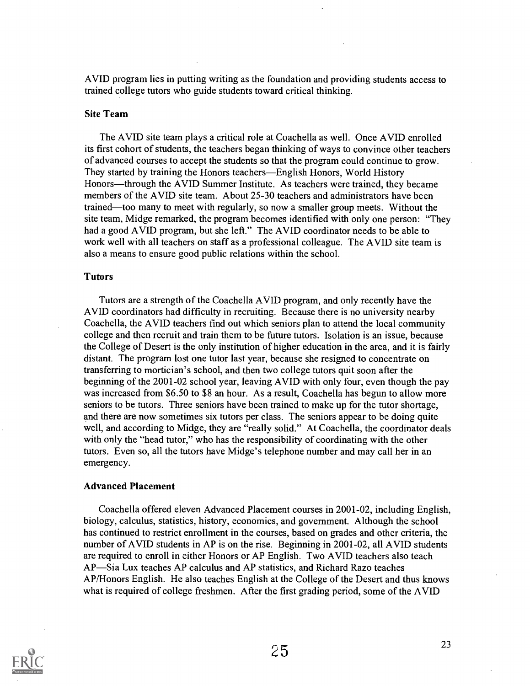AVID program lies in putting writing as the foundation and providing students access to trained college tutors who guide students toward critical thinking.

### Site Team

The AVID site team plays a critical role at Coachella as well. Once AVID enrolled its first cohort of students, the teachers began thinking of ways to convince other teachers of advanced courses to accept the students so that the program could continue to grow. They started by training the Honors teachers—English Honors, World History Honors—through the AVID Summer Institute. As teachers were trained, they became members of the AVID site team. About 25-30 teachers and administrators have been trained—too many to meet with regularly, so now a smaller group meets. Without the site team, Midge remarked, the program becomes identified with only one person: "They had a good AVID program, but she left." The AVID coordinator needs to be able to work well with all teachers on staff as a professional colleague. The AVID site team is also a means to ensure good public relations within the school.

### Tutors

Tutors are a strength of the Coachella AVID program, and only recently have the AVID coordinators had difficulty in recruiting. Because there is no university nearby Coachella, the AVID teachers find out which seniors plan to attend the local community college and then recruit and train them to be future tutors. Isolation is an issue, because the College of Desert is the only institution of higher education in the area, and it is fairly distant. The program lost one tutor last year, because she resigned to concentrate on transferring to mortician's school, and then two college tutors quit soon after the beginning of the 2001-02 school year, leaving AVID with only four, even though the pay was increased from \$6.50 to \$8 an hour. As a result, Coachella has begun to allow more seniors to be tutors. Three seniors have been trained to make up for the tutor shortage, and there are now sometimes six tutors per class. The seniors appear to be doing quite well, and according to Midge, they are "really solid." At Coachella, the coordinator deals with only the "head tutor," who has the responsibility of coordinating with the other tutors. Even so, all the tutors have Midge's telephone number and may call her in an emergency.

### Advanced Placement

Coachella offered eleven Advanced Placement courses in 2001-02, including English, biology, calculus, statistics, history, economics, and government. Although the school has continued to restrict enrollment in the courses, based on grades and other criteria, the number of AVID students in AP is on the rise. Beginning in 2001-02, all AVID students are required to enroll in either Honors or AP English. Two AVID teachers also teach AP—Sia Lux teaches AP calculus and AP statistics, and Richard Razo teaches AP/Honors English. He also teaches English at the College of the Desert and thus knows what is required of college freshmen. After the first grading period, some of the AVID

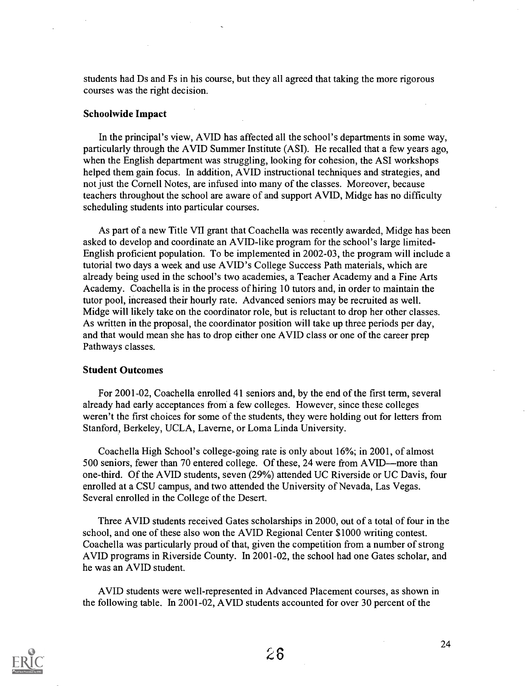students had Ds and Fs in his course, but they all agreed that taking the more rigorous courses was the right decision.

### Schoolwide Impact

In the principal's view, AVID has affected all the school's departments in some way, particularly through the AVID Summer Institute (ASI). He recalled that a few years ago, when the English department was struggling, looking for cohesion, the ASI workshops helped them gain focus. In addition, AVID instructional techniques and strategies, and not just the Cornell Notes, are infused into many of the classes. Moreover, because teachers throughout the school are aware of and support AVID, Midge has no difficulty scheduling students into particular courses.

As part of a new Title VII grant that Coachella was recently awarded, Midge has been asked to develop and coordinate an AVID-like program for the school's large limited-English proficient population. To be implemented in 2002-03, the program will include a tutorial two days a week and use AVID's College Success Path materials, which are already being used in the school's two academies, a Teacher Academy and a Fine Arts Academy. Coachella is in the process of hiring 10 tutors and, in order to maintain the tutor pool, increased their hourly rate. Advanced seniors may be recruited as well. Midge will likely take on the coordinator role, but is reluctant to drop her other classes. As written in the proposal, the coordinator position will take up three periods per day, and that would mean she has to drop either one AVID class or one of the career prep Pathways classes.

### Student Outcomes

For 2001-02, Coachella enrolled 41 seniors and, by the end of the first term, several already had early acceptances from a few colleges. However, since these colleges weren't the first choices for some of the students, they were holding out for letters from Stanford, Berkeley, UCLA, Laverne, or Loma Linda University.

Coachella High School's college-going rate is only about 16%; in 2001, of almost 500 seniors, fewer than 70 entered college. Of these, 24 were from AVID—more than one-third. Of the AVID students, seven (29%) attended UC Riverside or UC Davis, four enrolled at a CSU campus, and two attended the University of Nevada, Las Vegas. Several enrolled in the College of the Desert.

Three AVID students received Gates scholarships in 2000, out of a total of four in the school, and one of these also won the AVID Regional Center \$1000 writing contest. Coachella was particularly proud of that, given the competition from a number of strong AVID programs in Riverside County. In 2001-02, the school had one Gates scholar, and he was an AVID student.

AVID students were well-represented in Advanced Placement courses, as shown in the following table. In 2001-02, AVID students accounted for over 30 percent of the

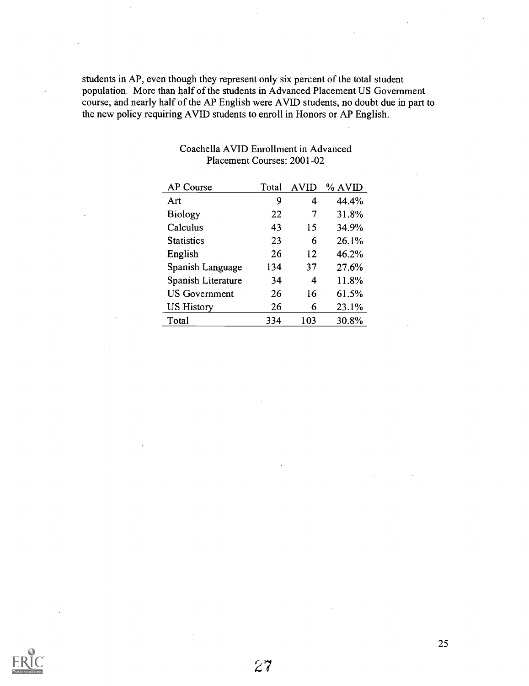students in AP, even though they represent only six percent of the total student population. More than half of the students in Advanced Placement US Government course, and nearly half of the AP English were AVID students, no doubt due in part to the new policy requiring AVID students to enroll in Honors or AP English.

| <b>AP Course</b>     | Total | <b>AVID</b> | % AVID |
|----------------------|-------|-------------|--------|
| Art                  | 9     | 4           | 44.4%  |
| <b>Biology</b>       | 22    | 7           | 31.8%  |
| Calculus             | 43    | 15          | 34.9%  |
| <b>Statistics</b>    | 23    | 6           | 26.1%  |
| English              | 26    | 12          | 46.2%  |
| Spanish Language     | 134   | 37          | 27.6%  |
| Spanish Literature   | 34    | 4           | 11.8%  |
| <b>US Government</b> | 26    | 16          | 61.5%  |
| <b>US History</b>    | 26    | 6           | 23.1%  |
| Total                | 334   | 103         | 30.8%  |

### Coachella AVID Enrollment in Advanced Placement Courses: 2001-02



27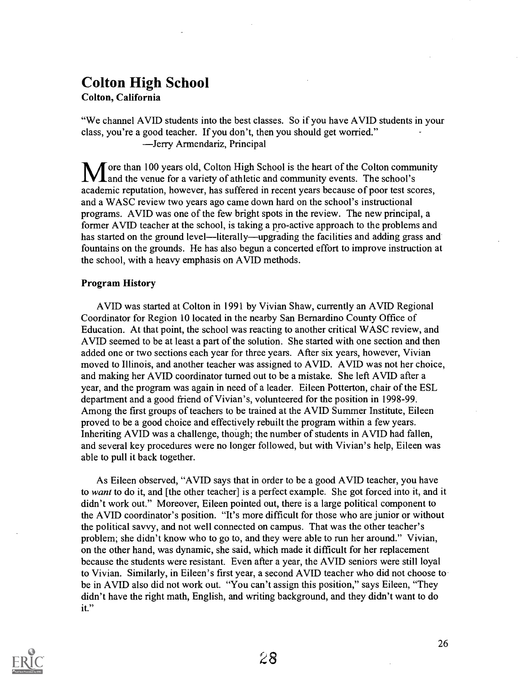# Colton High School

Colton, California

"We channel AVID students into the best classes. So if you have AVID students in your class, you're a good teacher. If you don't, then you should get worried." Jerry Armendariz, Principal

Tore than 100 years old, Colton High School is the heart of the Colton community **L** and the venue for a variety of athletic and community events. The school's academic reputation, however, has suffered in recent years because of poor test scores, and a WASC review two years ago came down hard on the school's instructional programs. AVID was one of the few bright spots in the review. The new principal, a former AVID teacher at the school, is taking a pro-active approach to the problems and has started on the ground level—literally—upgrading the facilities and adding grass and fountains on the grounds. He has also begun a concerted effort to improve instruction at the school, with a heavy emphasis on AVID methods.

### Program History

AVID was started at Colton in 1991 by Vivian Shaw, currently an AVID Regional Coordinator for Region 10 located in the nearby San Bernardino County Office of Education. At that point, the school was reacting to another critical WASC review, and AVID seemed to be at least a part of the solution. She started with one section and then added one or two sections each year for three years. After six years, however, Vivian moved to Illinois, and another teacher was assigned to AVID. AVID was not her choice, and making her AVID coordinator turned out to be a mistake. She left AVID after a year, and the program was again in need of a leader. Eileen Potterton, chair of the ESL department and a good friend of Vivian's, volunteered for the position in 1998-99. Among the first groups of teachers to be trained at the AVID Summer Institute, Eileen proved to be a good choice and effectively rebuilt the program within a few years. Inheriting AVID was a challenge, though; the number of students in AVID had fallen, and several key procedures were no longer followed, but with Vivian's help, Eileen was able to pull it back together.

As Eileen observed, "AVID says that in order to be a good AVID teacher, you have to want to do it, and [the other teacher] is a perfect example. She got forced into it, and it didn't work out." Moreover, Eileen pointed out, there is a large political component to the AVID coordinator's position. "It's more difficult for those who are junior or without the political savvy, and not well connected on campus. That was the other teacher's problem; she didn't know who to go to, and they were able to run her around." Vivian, on the other hand, was dynamic, she said, which made it difficult for her replacement because the students were resistant. Even after a year, the AVID seniors were still loyal to Vivian. Similarly, in Eileen's first year, a second AVID teacher who did not choose to be in AVID also did not work out. "You can't assign this position," says Eileen, "They didn't have the right math, English, and writing background, and they didn't want to do it."

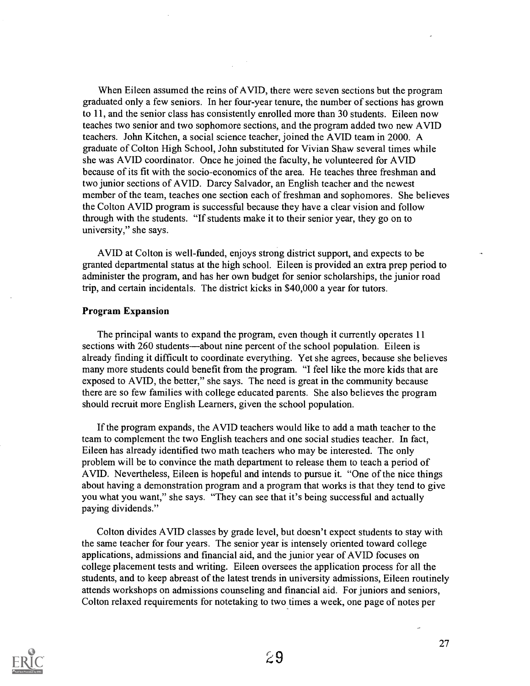When Eileen assumed the reins of AVID, there were seven sections but the program graduated only a few seniors. In her four-year tenure, the number of sections has grown to 11, and the senior class has consistently enrolled more than 30 students. Eileen now teaches two senior and two sophomore sections, and the program added two new AVID teachers. John Kitchen, a social science teacher, joined the AVID team in 2000. A graduate of Colton High School, John substituted for Vivian Shaw several times while she was AVID coordinator. Once he joined the faculty, he volunteered for AVID because of its fit with the socio-economics of the area. He teaches three freshman and two junior sections of AVID. Darcy Salvador, an English teacher and the newest member of the team, teaches one section each of freshman and sophomores. She believes the Colton AVID program is successful because they have a clear vision and follow through with the students. "If students make it to their senior year, they go on to university," she says.

AVID at Colton is well-funded, enjoys strong district support, and expects to be granted departmental status at the high school. Eileen is provided an extra prep period to administer the program, and has her own budget for senior scholarships, the junior road trip, and certain incidentals. The district kicks in \$40,000 a year for tutors.

### Program Expansion

The principal wants to expand the program, even though it currently operates 11 sections with 260 students—about nine percent of the school population. Eileen is already finding it difficult to coordinate everything. Yet she agrees, because she believes many more students could benefit from the program. "I feel like the more kids that are exposed to AVID, the better," she says. The need is great in the community because there are so few families with college educated parents. She also believes the program should recruit more English Learners, given the school population.

If the program expands, the AVID teachers would like to add a math teacher to the team to complement the two English teachers and one social studies teacher. In fact, Eileen has already identified two math teachers who may be interested. The only problem will be to convince the math department to release them to teach a period of AVID. Nevertheless, Eileen is hopeful and intends to pursue it. "One of the nice things about having a demonstration program and a program that works is that they tend to give you what you want," she says. "They can see that it's being successful and actually paying dividends."

Colton divides AVID classes by grade level, but doesn't expect students to stay with the same teacher for four years. The senior year is intensely oriented toward college applications, admissions and financial aid, and the junior year of AVID focuses on college placement tests and writing. Eileen oversees the application process for all the students, and to keep abreast of the latest trends in university admissions, Eileen routinely attends workshops on admissions counseling and financial aid. For juniors and seniors, Colton relaxed requirements for notetaking to two times a week, one page of notes per

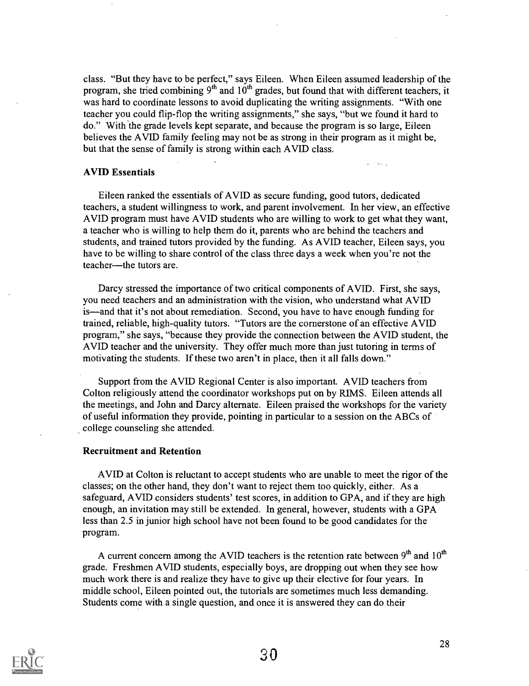class. "But they have to be perfect," says Eileen. When Eileen assumed leadership of the program, she tried combining  $9<sup>th</sup>$  and  $10<sup>th</sup>$  grades, but found that with different teachers, it was hard to coordinate lessons to avoid duplicating the writing assignments. "With one teacher you could flip-flop the writing assignments," she says, "but we found it hard to do." With the grade levels kept separate, and because the program is so large, Eileen believes the AVID family feeling may not be as strong in their program as it might be, but that the sense of family is strong within each AVID class.

### AVID Essentials

Eileen ranked the essentials of AVID as secure funding, good tutors, dedicated teachers, a student willingness to work, and parent involvement. In her view, an effective AVID program must have AVID students who are willing to work to get what they want, a teacher who is willing to help them do it, parents who are behind the teachers and students, and trained tutors provided by the funding. As AVID teacher, Eileen says, you have to be willing to share control of the class three days a week when you're not the teacher—the tutors are.

Darcy stressed the importance of two critical components of AVID. First, she says, you need teachers and an administration with the vision, who understand what AVID is—and that it's not about remediation. Second, you have to have enough funding for trained, reliable, high-quality tutors. "Tutors are the cornerstone of an effective AVID program," she says, "because they provide the connection between the AVID student, the AVID teacher and the university. They offer much more than just tutoring in terms of motivating the students. If these two aren't in place, then it all falls down."

Support from the AVID Regional Center is also important. AVID teachers from Colton religiously attend the coordinator workshops put on by RIMS. Eileen attends all the meetings, and John and Darcy alternate. Eileen praised the workshops for the variety of useful information they provide, pointing in particular to a session on the ABCs of college counseling she attended.

### Recruitment and Retention

AVID at Colton is reluctant to accept students who are unable to meet the rigor of the classes; on the other hand, they don't want to reject them too quickly, either. As a safeguard, AVID considers students' test scores, in addition to GPA, and if they are high enough, an invitation may still be extended. In general, however, students with a GPA less than 2.5 in junior high school have not been found to be good candidates for the program.

A current concern among the AVID teachers is the retention rate between  $9<sup>th</sup>$  and  $10<sup>th</sup>$ grade. Freshmen AVID students, especially boys, are dropping out when they see how much work there is and realize they have to give up their elective for four years. In middle school, Eileen pointed out, the tutorials are sometimes much less demanding. Students come with a single question, and once it is answered they can do their

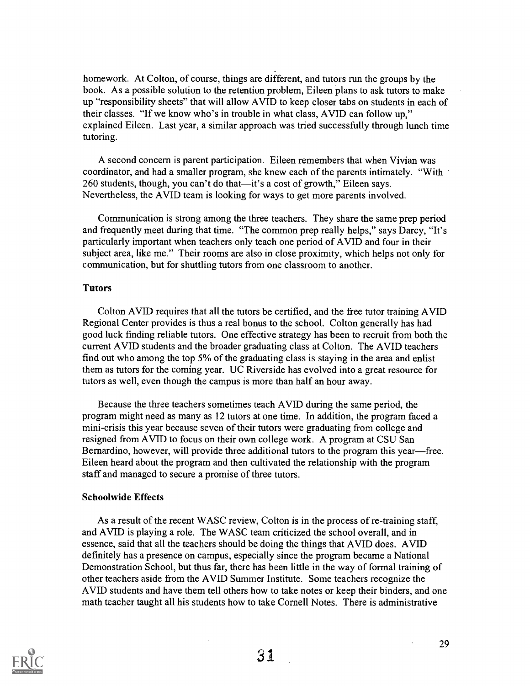homework. At Colton, of course, things are different, and tutors run the groups by the book. As a possible solution to the retention problem, Eileen plans to ask tutors to make up "responsibility sheets" that will allow AVID to keep closer tabs on students in each of their classes. "If we know who's in trouble in what class, AVID can follow up," explained Eileen. Last year, a similar approach was tried successfully through lunch time tutoring.

A second concern is parent participation. Eileen remembers that when Vivian was coordinator, and had a smaller program, she knew each of the parents intimately. "With 260 students, though, you can't do that—it's a cost of growth," Eileen says. Nevertheless, the AVID team is looking for ways to get more parents involved.

Communication is strong among the three teachers. They share the same prep period and frequently meet during that time. "The common prep really helps," says Darcy, "It's particularly important when teachers only teach one period of AVID and four in their subject area, like me." Their rooms are also in close proximity, which helps not only for communication, but for shuttling tutors from one classroom to another.

### Tutors

Colton AVID requires that all the tutors be certified, and the free tutor training AVID Regional Center provides is thus a real bonus to the school. Colton generally has had good luck finding reliable tutors. One effective strategy has been to recruit from both the current AVID students and the broader graduating class at Colton. The AVID teachers find out who among the top 5% of the graduating class is staying in the area and enlist them as tutors for the coming year. UC Riverside has evolved into a great resource for tutors as well, even though the campus is more than half an hour away.

Because the three teachers sometimes teach AVID during the same period, the program might need as many as 12 tutors at one time. In addition, the program faced a mini-crisis this year because seven of their tutors were graduating from college and resigned from AVID to focus on their own college work. A program at CSU San Bernardino, however, will provide three additional tutors to the program this year—free. Eileen heard about the program and then cultivated the relationship with the program staff and managed to secure a promise of three tutors.

### Schoolwide Effects

As a result of the recent WASC review, Colton is in the process of re-training staff, and AVID is playing a role. The WASC team criticized the school overall, and in essence, said that all the teachers should be doing the things that AVID does. AVID definitely has a presence on campus, especially since the program became a National Demonstration School, but thus far, there has been little in the way of formal training of other teachers aside from the AVID Summer Institute. Some teachers recognize the AVID students and have them tell others how to take notes or keep their binders, and one math teacher taught all his students how to take Cornell Notes. There is administrative

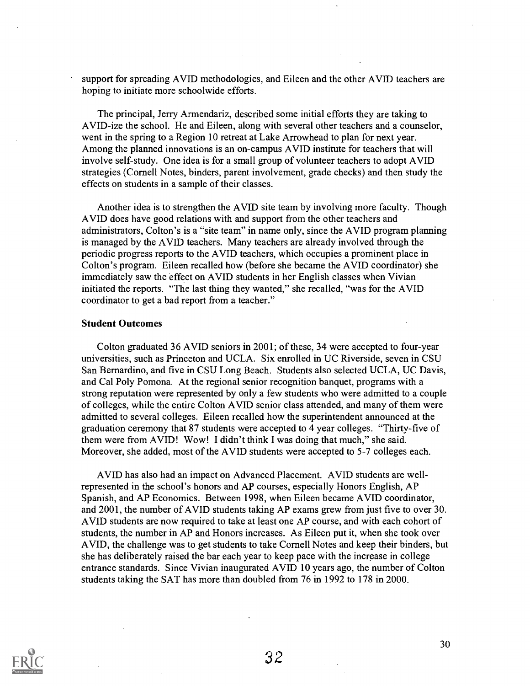support for spreading AVID methodologies, and Eileen and the other AVID teachers are hoping to initiate more schoolwide efforts.

The principal, Jerry Armendariz, described some initial efforts they are taking to AVID-ize the school. He and Eileen, along with several other teachers and a counselor, went in the spring to a Region 10 retreat at Lake Arrowhead to plan for next year. Among the planned innovations is an on-campus AVID institute for teachers that will involve self-study. One idea is for a small group of volunteer teachers to adopt AVID strategies (Cornell Notes, binders, parent involvement, grade checks) and then study the effects on students in a sample of their classes.

Another idea is to strengthen the AVID site team by involving more faculty. Though AVID does have good relations with and support from the other teachers and administrators, Colton's is a "site team" in name only, since the AVID program planning is managed by the AVID teachers. Many teachers are already involved through the periodic progress reports to the AVID teachers, which occupies a prominent place in Colton's program. Eileen recalled how (before she became the AVID coordinator) she immediately saw the effect on AVID students in her English classes when Vivian initiated the reports. "The last thing they wanted," she recalled, "was for the AVID coordinator to get a bad report from a teacher."

#### Student Outcomes

Colton graduated 36 AVID seniors in 2001; of these, 34 were accepted to four-year universities, such as Princeton and UCLA. Six enrolled in UC Riverside, seven in CSU San Bernardino, and five in CSU Long Beach. Students also selected UCLA, UC Davis, and Cal Poly Pomona. At the regional senior recognition banquet, programs with a strong reputation were represented by only a few students who were admitted to a couple of colleges, while the entire Colton AVID senior class attended, and many of them were admitted to several colleges. Eileen recalled how the superintendent announced at the graduation ceremony that 87 students were accepted to 4 year colleges. "Thirty-five of them were from AVID! Wow! I didn't think I was doing that much," she said. Moreover, she added, most of the AVID students were accepted to 5-7 colleges each.

AVID has also had an impact on Advanced Placement. AVID students are wellrepresented in the school's honors and AP courses, especially Honors English, AP Spanish, and AP Economics. Between 1998, when Eileen became AVID coordinator, and 2001, the number of AVID students taking AP exams grew from just five to over 30. AVID students are now required to take at least one AP course, and with each cohort of students, the number in AP and Honors increases. As Eileen put it, when she took over AVID, the challenge was to get students to take Cornell Notes and keep their binders, but she has deliberately raised the bar each year to keep pace with the increase in college entrance standards. Since Vivian inaugurated AVID 10 years ago, the number of Colton students taking the SAT has more than doubled from 76 in 1992 to 178 in 2000.

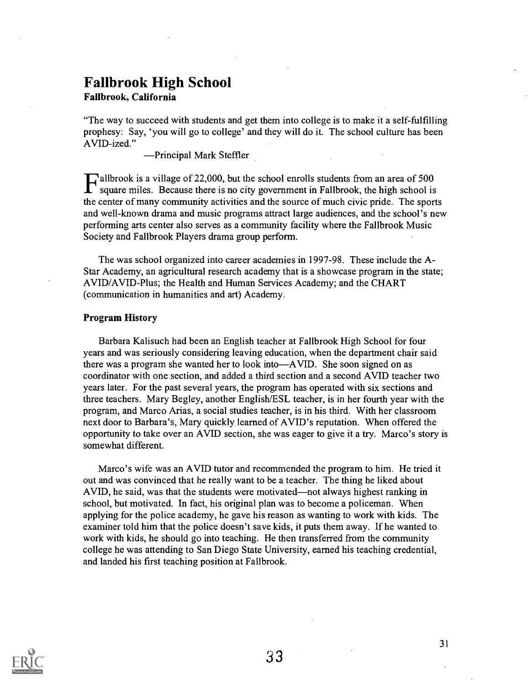# Fallbrook High School

### Falibrook, California

"The way to succeed with students and get them into college is to make it a self-fulfilling prophesy: Say, 'you will go to college' and they will do it. The school culture has been AVID-ized."

Principal Mark Steffler

**L'allbrook is a village of 22,000, but the school enrolls students from an area of 500** square miles. Because there is no situ and the set of the set of the set of the set of the set of the set of the set of the set of th square miles. Because there is no city government in Falibrook, the high school is the center of many community activities and the source of much civic pride. The sports and well-known drama and music programs attract large audiences, and the school's new performing arts center also serves as a community facility where the Fallbrook Music Society and Falibrook Players drama group perform.

The was school organized into career academies in 1997-98. These include the A-Star Academy, an agricultural research academy that is a showcase program in the state; AVID/AVID-Plus; the Health and Human Services Academy; and the CHART (communication in humanities and art) Academy.

### Program History

Barbara Kalisuch had been an English teacher at Fallbrook High School for four years and was seriously considering leaving education, when the department chair said there was a program she wanted her to look into—AVID. She soon signed on as coordinator with one section, and added a third section and a second AVID teacher two years later. For the past several years, the program has operated with six sections and three teachers. Mary Begley, another English/ESL teacher, is in her fourth year with the program, and Marco Arias, a social studies teacher, is in his third. With her classroom next door to Barbara's, Mary quickly learned of AVID's reputation. When offered the opportunity to take over an AVID section, she was eager to give it a try. Marco's story is somewhat different.

Marco's wife was an AVID tutor and recommended the program to him. He tried it out and was convinced that he really want to be a teacher. The thing he liked about AVID, he said, was that the students were motivated—not always highest ranking in school, but motivated. In fact, his original plan was to become a policeman. When applying for the police academy, he gave his reason as wanting to work with kids. The examiner told him that the police doesn't save kids, it puts them away. If he wanted to work with kids, he should go into teaching. He then transferred from the community college he was attending to San Diego State University, earned his teaching credential, and landed his first teaching position at Falibrook.

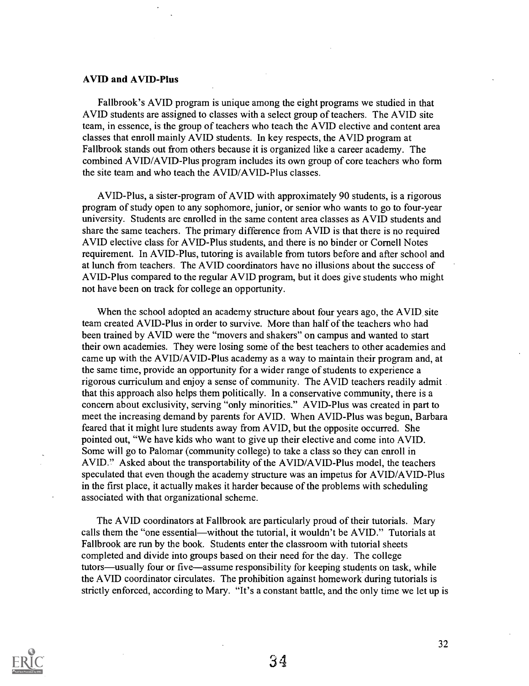### AVID and AVID-Plus

Fallbrook's AVID program is unique among the eight programs we studied in that AVID students are assigned to classes with a select group of teachers. The AVID site team, in essence, is the group of teachers who teach the AVID elective and content area classes that enroll mainly AVID students. In key respects, the AVID program at Fallbrook stands out from others because it is organized like a career academy. The combined AVID/AVID-Plus program includes its own group of core teachers who form the site team and who teach the AVID/AVID-Plus classes.

AVID-Plus, a sister-program of AVID with approximately 90 students, is a rigorous program of study open to any sophomore, junior, or senior who wants to go to four-year university. Students are enrolled in the same content area classes as AVID students and share the same teachers. The primary difference from AVID is that there is no required AVID elective class for AVID-Plus students, and there is no binder or Cornell Notes requirement. In AVID-Plus, tutoring is available from tutors before and after school and at lunch from teachers. The AVID coordinators have no illusions about the success of AVID-Plus compared to the regular AVID program, but it does give students who might not have been on track for college an opportunity.

When the school adopted an academy structure about four years ago, the AVID site team created AVID-Plus in order to survive. More than half of the teachers who had been trained by AVID were the "movers and shakers" on campus and wanted to start their own academies. They were losing some of the best teachers to other academies and came up with the AVID/AVID-Plus academy as a way to maintain their program and, at the same time, provide an opportunity for a wider range of students to experience a rigorous curriculum and enjoy a sense of community. The AVID teachers readily admit that this approach also helps them politically. In a conservative community, there is a concern about exclusivity, serving "only minorities." AVID-Plus was created in part to meet the increasing demand by parents for AVID. When AVID-Plus was begun, Barbara feared that it might lure students away from AVID, but the opposite occurred. She pointed out, "We have kids who want to give up their elective and come into AVID. Some will go to Palomar (community college) to take a class so they can enroll in AVID." Asked about the transportability of the AVID/AVID-Plus model, the teachers speculated that even though the academy structure was an impetus for AVID/AVID-Plus in the first place, it actually makes it harder because of the problems with scheduling associated with that organizational scheme.

The AVID coordinators at Fallbrook are particularly proud of their tutorials. Mary calls them the "one essential—without the tutorial, it wouldn't be AVID." Tutorials at Fallbrook are run by the book. Students enter the classroom with tutorial sheets completed and divide into groups based on their need for the day. The college tutors—usually four or five—assume responsibility for keeping students on task, while the AVID coordinator circulates. The prohibition against homework during tutorials is strictly enforced, according to Mary. "It's a constant battle, and the only time we let up is

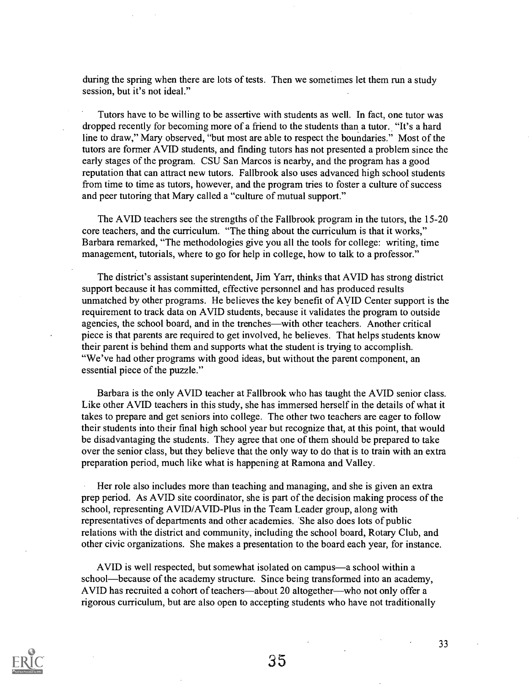during the spring when there are lots of tests. Then we sometimes let them run a study session, but it's not ideal."

Tutors have to be willing to be assertive with students as well. In fact, one tutor was dropped recently for becoming more of a friend to the students than a tutor. "It's a hard line to draw," Mary observed, "but most are able to respect the boundaries." Most of the tutors are former AVID students, and finding tutors has not presented a problem since the early stages of the program. CSU San Marcos is nearby, and the program has a good reputation that can attract new tutors. Fallbrook also uses advanced high school students from time to time as tutors, however, and the program tries to foster a culture of success and peer tutoring that Mary called a "culture of mutual support."

The AVID teachers see the strengths of the Fallbrook program in the tutors, the 15-20 core teachers, and the curriculum. "The thing about the curriculum is that it works," Barbara remarked, "The methodologies give you all the tools for college: writing, time management, tutorials, where to go for help in college, how to talk to a professor."

The district's assistant superintendent, Jim Yarr, thinks that AVID has strong district support because it has committed, effective personnel and has produced results unmatched by other programs. He believes the key benefit of AVID Center support is the requirement to track data on AVID students, because it validates the program to outside agencies, the school board, and in the trenches—with other teachers. Another critical piece is that parents are required to get involved, he believes. That helps students know their parent is behind them and supports what the student is trying to accomplish. "We've had other programs with good ideas, but without the parent component, an essential piece of the puzzle."

Barbara is the only AVID teacher at Fallbrook who has taught the AVID senior class. Like other AVID teachers in this study, she has immersed herself in the details of what it takes to prepare and get seniors into college. The other two teachers are eager to follow their students into their final high school year but recognize that, at this point, that would be disadvantaging the students. They agree that one of them should be prepared to take over the senior class, but they believe that the only way to do that is to train with an extra preparation period, much like what is happening at Ramona and Valley.

Her role also includes more than teaching and managing, and she is given an extra prep period. As AVID site coordinator, she is part of the decision making process of the school, representing AVID/AVID-Plus in the Team Leader group, along with representatives of departments and other academies. She also does lots of public relations with the district and community, including the school board, Rotary Club, and other civic organizations. She makes a presentation to the board each year, for instance.

AVID is well respected, but somewhat isolated on campus—a school within a school—because of the academy structure. Since being transformed into an academy, AVID has recruited a cohort of teachers—about 20 altogether—who not only offer a rigorous curriculum, but are also open to accepting students who have not traditionally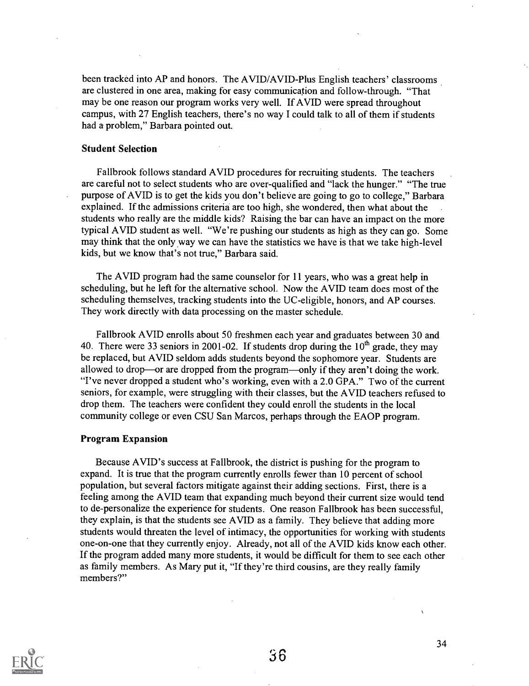been tracked into AP and honors. The AVID/AVID-Plus English teachers' classrooms are clustered in one area, making for easy communication and follow-through. "That may be one reason our program works very well. If AVID were spread throughout campus, with 27 English teachers, there's no way I could talk to all of them if students had a problem," Barbara pointed out.

### Student Selection

Fallbrook follows standard AVID procedures for recruiting students. The teachers are careful not to select students who are over-qualified and "lack the hunger." "The true purpose of AVID is to get the kids you don't believe are going to go to college," Barbara explained. If the admissions criteria are too high, she wondered, then what about the students who really are the middle kids? Raising the bar can have an impact on the more typical AVID student as well. "We're pushing our students as high as they can go. Some may think that the only way we can have the statistics we have is that we take high-level kids, but we know that's not true," Barbara said.

The AVID program had the same counselor for 11 years, who was a great help in scheduling, but he left for the alternative school. Now the AVID team does most of the scheduling themselves, tracking students into the UC-eligible, honors, and AP courses. They work directly with data processing on the master schedule.

Fallbrook AVID enrolls about 50 freshmen each year and graduates between 30 and 40. There were 33 seniors in 2001-02. If students drop during the  $10<sup>th</sup>$  grade, they may be replaced, but AVID seldom adds students beyond the sophomore year. Students are allowed to drop—or are dropped from the program—only if they aren't doing the work. "I've never dropped a student who's working, even with a 2.0 GPA." Two of the current seniors, for example, were struggling with their classes, but the AVID teachers refused to drop them. The teachers were confident they could enroll the students in the local community college or even CSU San Marcos, perhaps through the EAOP program.

### Program Expansion

Because AVID's success at Fallbrook, the district is pushing for the program to expand. It is true that the program currently enrolls fewer than 10 percent of school population, but several factors mitigate against their adding sections. First, there is a feeling among the AVID team that expanding much beyond their current size would tend to de-personalize the experience for students. One reason Fallbrook has been successful, they explain, is that the students see AVID as a family. They believe that adding more students would threaten the level of intimacy, the opportunities for working with students one-on-one that they currently enjoy. Already, not all of the AVID kids know each other. If the program added many more students, it would be difficult for them to see each other as family members. As Mary put it, "If they're third cousins, are they really family members?"

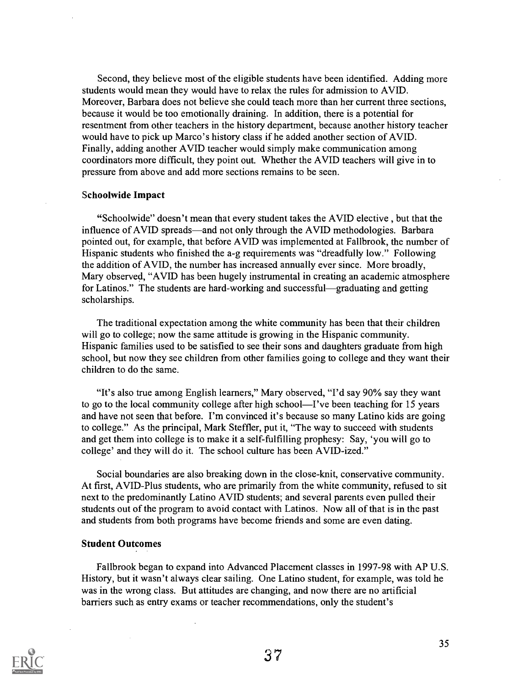Second, they believe most of the eligible students have been identified. Adding more students would mean they would have to relax the rules for admission to AVID. Moreover, Barbara does not believe she could teach more than her current three sections, because it would be too emotionally draining. In addition, there is a potential for resentment from other teachers in the history department, because another history teacher would have to pick up Marco's history class if he added another section of AVID. Finally, adding another AVID teacher would simply make communication among coordinators more difficult, they point out. Whether the AVID teachers will give in to pressure from above and add more sections remains to be seen.

### Schoolwide Impact

"Schoolwide" doesn't mean that every student takes the AVID elective , but that the influence of AVID spreads—and not only through the AVID methodologies. Barbara pointed out, for example, that before AVID was implemented at Fallbrook, the number of Hispanic students who finished the a-g requirements was "dreadfully low." Following the addition of AVID, the number has increased annually ever since. More broadly, Mary observed, "AVID has been hugely instrumental in creating an academic atmosphere for Latinos." The students are hard-working and successful—graduating and getting scholarships.

The traditional expectation among the white community has been that their children will go to college; now the same attitude is growing in the Hispanic community. Hispanic families used to be satisfied to see their sons and daughters graduate from high school, but now they see children from other families going to college and they want their children to do the same.

"It's also true among English learners," Mary observed, "I'd say 90% say they want to go to the local community college after high school—I've been teaching for 15 years and have not seen that before. I'm convinced it's because so many Latino kids are going to college." As the principal, Mark Steffler, put it, "The way to succeed with students and get them into college is to make it a self-fulfilling prophesy: Say, 'you will go to college' and they will do it. The school culture has been AVID-ized."

Social boundaries are also breaking down in the close-knit, conservative community. At first, AVID-Plus students, who are primarily from the white community, refused to sit next to the predominantly Latino AVID students; and several parents even pulled their students out of the program to avoid contact with Latinos. Now all of that is in the past and students from both programs have become friends and some are even dating.

### Student Outcomes

Fallbrook began to expand into Advanced Placement classes in 1997-98 with AP U.S. History, but it wasn't always clear sailing. One Latino student, for example, was told he was in the wrong class. But attitudes are changing, and now there are no artificial barriers such as entry exams or teacher recommendations, only the student's

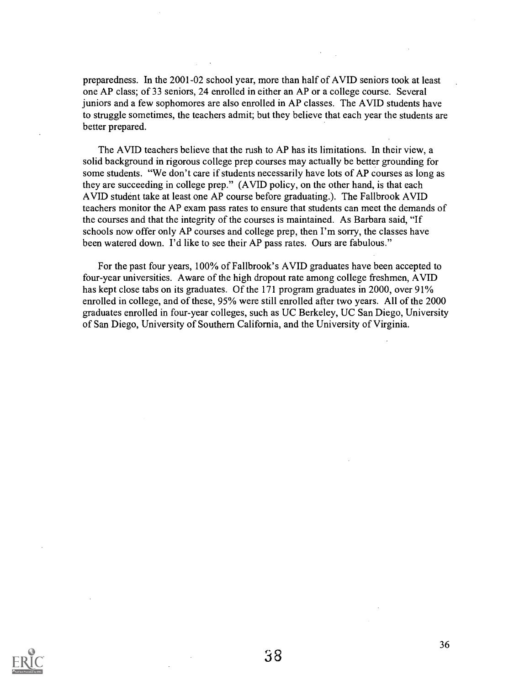preparedness. In the 2001-02 school year, more than half of AVID seniors took at least one AP class; of 33 seniors, 24 enrolled in either an AP or a college course. Several juniors and a few sophomores are also enrolled in AP classes. The AVID students have to struggle sometimes, the teachers admit; but they believe that each year the students are better prepared.

The AVID teachers believe that the rush to AP has its limitations. In their view, a solid background in rigorous college prep courses may actually be better grounding for some students. "We don't care if students necessarily have lots of AP courses as long as they are succeeding in college prep." (AVID policy, on the other hand, is that each AVID student take at least one AP course before graduating.). The Fallbrook AVID teachers monitor the AP exam pass rates to ensure that students can meet the demands of the courses and that the integrity of the courses is maintained. As Barbara said, "If schools now offer only AP courses and college prep, then I'm sorry, the classes have been watered down. I'd like to see their AP pass rates. Ours are fabulous."

For the past four years, 100% of Fallbrook's AVID graduates have been accepted to four-year universities. Aware of the high dropout rate among college freshmen, AVID has kept close tabs on its graduates. Of the 171 program graduates in 2000, over 91% enrolled in college, and of these, 95% were still enrolled after two years. All of the 2000 graduates enrolled in four-year colleges, such as UC Berkeley, UC San Diego, University of San Diego, University of Southern California, and the University of Virginia.

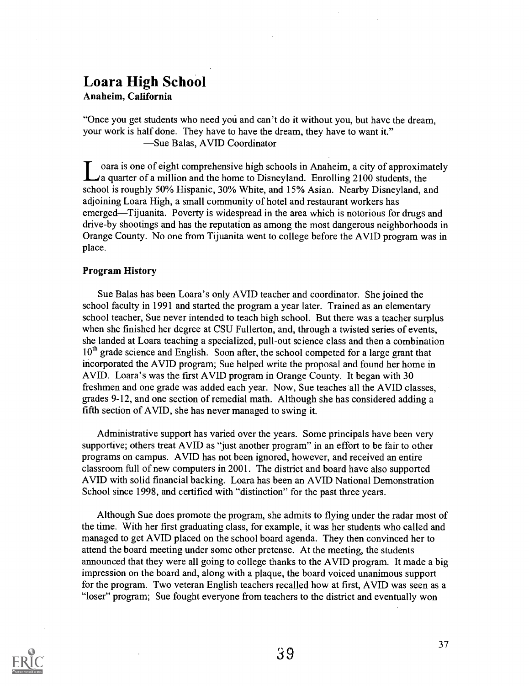# Loara High School

Anaheim, California

"Once you get students who need you and can't do it without you, but have the dream, your work is half done. They have to have the dream, they have to want it." -Sue Balas, AVID Coordinator

oara is one of eight comprehensive high schools in Anaheim, a city of approximately A quarter of a million and the home to Disneyland. Enrolling 2100 students, the school is roughly 50% Hispanic, 30% White, and 15% Asian. Nearby Disneyland, and adjoining Loara High, a small community of hotel and restaurant workers has emerged—Tijuanita. Poverty is widespread in the area which is notorious for drugs and drive-by shootings and has the reputation as among the most dangerous neighborhoods in Orange County. No one from Tijuanita went to college before the AVID program was in place.

### Program History

Sue Balas has been Loara's only AVID teacher and coordinator. She joined the school faculty in 1991 and started the program a year later. Trained as an elementary school teacher, Sue never intended to teach high school. But there was a teacher surplus when she finished her degree at CSU Fullerton, and, through a twisted series of events, she landed at Loara teaching a specialized, pull-out science class and then a combination  $10<sup>th</sup>$  grade science and English. Soon after, the school competed for a large grant that incorporated the AVID program; Sue helped write the proposal and found her home in AVID. Loara's was the first AVID program in Orange County. It began with 30 freshmen and one grade was added each year. Now, Sue teaches all the AVID classes, grades 9-12, and one section of remedial math. Although she has considered adding a fifth section of AVID, she has never managed to swing it.

Administrative support has varied over the years. Some principals have been very supportive; others treat AVID as "just another program" in an effort to be fair to other programs on campus. AVID has not been ignored, however, and received an entire classroom full of new computers in 2001. The district and board have also supported AVID with solid financial backing. Loara has been an AVID National Demonstration School since 1998, and certified with "distinction" for the past three years.

Although Sue does promote the program, she admits to flying under the radar most of the time. With her first graduating class, for example, it was her students who called and managed to get AVID placed on the school board agenda. They then convinced her to attend the board meeting under some other pretense. At the meeting, the students announced that they were all going to college thanks to the AVID program. It made a big impression on the board and, along with a plaque, the board voiced unanimous support for the program. Two veteran English teachers recalled how at first, AVID was seen as a "loser" program; Sue fought everyone from teachers to the district and eventually won

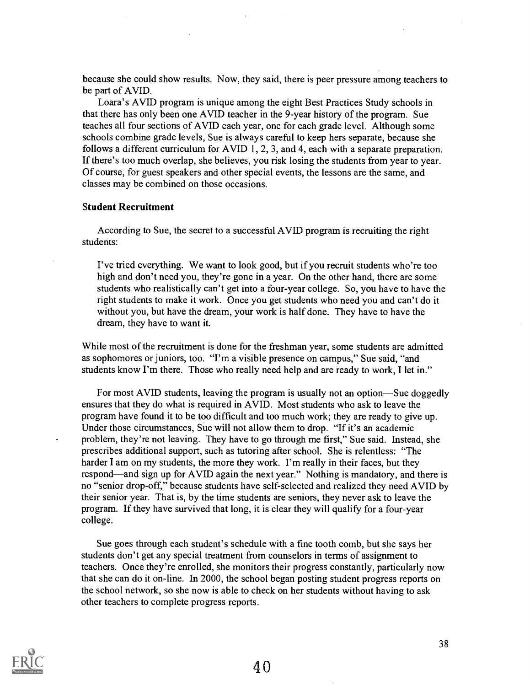because she could show results. Now, they said, there is peer pressure among teachers to be part of AVID.

Loara's AVID program is unique among the eight Best Practices Study schools in that there has only been one AVID teacher in the 9-year history of the program. Sue teaches all four sections of AVID each year, one for each grade level. Although some schools combine grade levels, Sue is always careful to keep hers separate, because she follows a different curriculum for AVID 1, 2, 3, and 4, each with a separate preparation. If there's too much overlap, she believes, you risk losing the students from year to year. Of course, for guest speakers and other special events, the lessons are the same, and classes may be combined on those occasions.

### Student Recruitment

According to Sue, the secret to a successful AVID program is recruiting the right students:

I've tried everything. We want to look good, but if you recruit students who're too high and don't need you, they're gone in a year. On the other hand, there are some students who realistically can't get into a four-year college. So, you have to have the right students to make it work. Once you get students who need you and can't do it without you, but have the dream, your work is half done. They have to have the dream, they have to want it.

While most of the recruitment is done for the freshman year, some students are admitted as sophomores or juniors, too. "I'm a visible presence on campus," Sue said, "and students know I'm there. Those who really need help and are ready to work, I let in."

For most AVID students, leaving the program is usually not an option—Sue doggedly ensures that they do what is required in AVID. Most students who ask to leave the program have found it to be too difficult and too much work; they are ready to give up. Under those circumstances, Sue will not allow them to drop. "If it's an academic problem, they're not leaving. They have to go through me first," Sue said. Instead, she prescribes additional support, such as tutoring after school. She is relentless: "The harder I am on my students, the more they work. I'm really in their faces, but they respond—and sign up for AVID again the next year." Nothing is mandatory, and there is no "senior drop-off," because students have self-selected and realized they need AVID by their senior year. That is, by the time students are seniors, they never ask to leave the program. If they have survived that long, it is clear they will qualify for a four-year college.

Sue goes through each student's schedule with a fine tooth comb, but she says her students don't get any special treatment from counselors in terms of assignment to teachers. Once they're enrolled, she monitors their progress constantly, particularly now that she can do it on-line. In 2000, the school began posting student progress reports on the school network, so she now is able to check on her students without having to ask other teachers to complete progress reports.

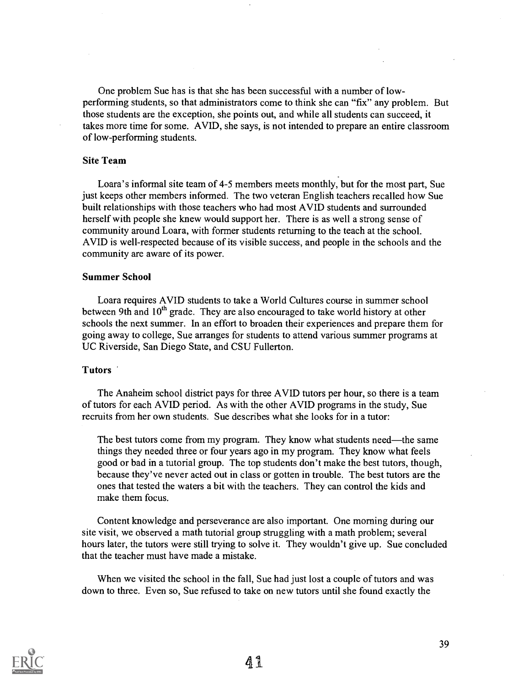One problem Sue has is that she has been successful with a number of lowperforming students, so that administrators come to think she can "fix" any problem. But those students are the exception, she points out, and while all students can succeed, it takes more time for some. AVID, she says, is not intended to prepare an entire classroom of low-performing students.

### Site Team

Loara's informal site team of 4-5 members meets monthly, but for the most part, Sue just keeps other members informed. The two veteran English teachers recalled how Sue built relationships with those teachers who had most AVID students and surrounded herself with people she knew would support her. There is as well a strong sense of community around Loara, with former students returning to the teach at the school. AVID is well-respected because of its visible success, and people in the schools and the community are aware of its power.

### Summer School

Loara requires AVID students to take a World Cultures course in summer school between 9th and  $10<sup>th</sup>$  grade. They are also encouraged to take world history at other schools the next summer. In an effort to broaden their experiences and prepare them for going away to college, Sue arranges for students to attend various summer programs at UC Riverside, San Diego State, and CSU Fullerton.

### Tutors

The Anaheim school district pays for three AVID tutors per hour, so there is a team of tutors for each AVID period. As with the other AVID programs in the study, Sue recruits from her own students. Sue describes what she looks for in a tutor:

The best tutors come from my program. They know what students need—the same things they needed three or four years ago in my program. They know what feels good or bad in a tutorial group. The top students don't make the best tutors, though, because they've never acted out in class or gotten in trouble. The best tutors are the ones that tested the waters a bit with the teachers. They can control the kids and make them focus.

Content knowledge and perseverance are also important. One morning during our site visit, we observed a math tutorial group struggling with a math problem; several hours later, the tutors were still trying to solve it. They wouldn't give up. Sue concluded that the teacher must have made a mistake.

When we visited the school in the fall, Sue had just lost a couple of tutors and was down to three. Even so, Sue refused to take on new tutors until she found exactly the

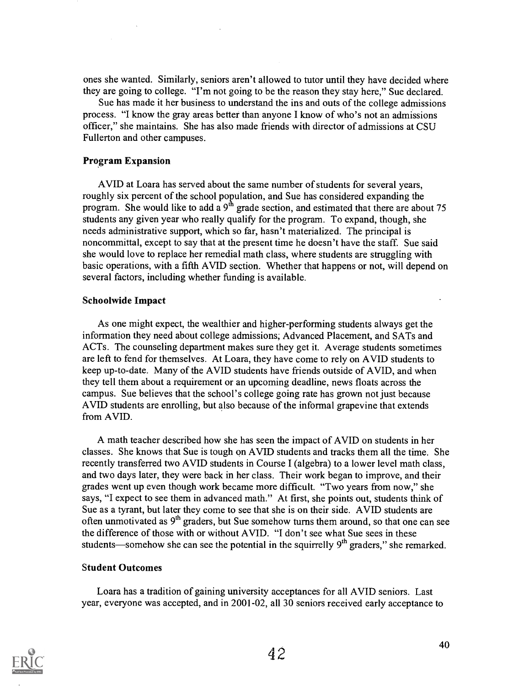ones she wanted. Similarly, seniors aren't allowed to tutor until they have decided where they are going to college. "I'm not going to be the reason they stay here," Sue declared.

Sue has made it her business to understand the ins and outs of the college admissions process. "I know the gray areas better than anyone I know of who's not an admissions officer," she maintains. She has also made friends with director of admissions at CSU Fullerton and other campuses.

### Program Expansion

AVID at Loara has served about the same number of students for several years, roughly six percent of the school population, and Sue has considered expanding the program. She would like to add a  $9<sup>th</sup>$  grade section, and estimated that there are about 75 students any given year who really qualify for the program. To expand, though, she needs administrative support, which so far, hasn't materialized. The principal is noncommittal, except to say that at the present time he doesn't have the staff. Sue said she would love to replace her remedial math class, where students are struggling with basic operations, with a fifth AVID section. Whether that happens or not, will depend on several factors, including whether funding is available.

### Schoolwide Impact

As one might expect, the wealthier and higher-performing students always get the information they need about college admissions; Advanced Placement, and SATs and ACTs. The counseling department makes sure they get it. Average students sometimes are left to fend for themselves. At Loara, they have come to rely on AVID students to keep up-to-date. Many of the AVID students have friends outside of AVID, and when they tell them about a requirement or an upcoming deadline, news floats across the campus. Sue believes that the school's college going rate has grown not just because AVID students are enrolling, but also because of the informal grapevine that extends from AVID.

A math teacher described how she has seen the impact of AVID on students in her classes. She knows that Sue is tough on AVID students and tracks them all the time. She recently transferred two AVID students in Course I (algebra) to a lower level math class, and two days later, they were back in her class. Their work began to improve, and their grades went up even though work became more difficult. "Two years from now," she says, "I expect to see them in advanced math." At first, she points out, students think of Sue as a tyrant, but later they come to see that she is on their side. AVID students are often unmotivated as  $9<sup>th</sup>$  graders, but Sue somehow turns them around, so that one can see the difference of those with or without AVID. "I don't see what Sue sees in these students—somehow she can see the potential in the squirrelly  $9<sup>th</sup>$  graders," she remarked.

### Student Outcomes

Loara has a tradition of gaining university acceptances for all AVID seniors. Last year, everyone was accepted, and in 2001-02, all 30 seniors received early acceptance to

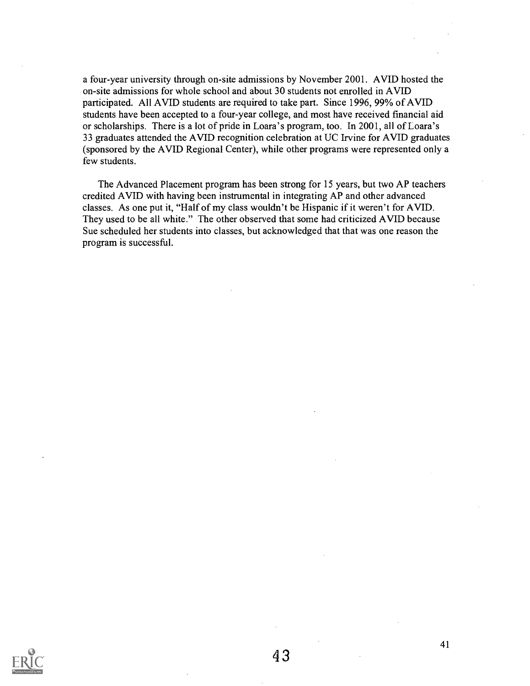a four-year university through on-site admissions by November 2001. AVID hosted the on-site admissions for whole school and about 30 students not enrolled in AVID participated. All AVID students are required to take part. Since 1996, 99% of AVID students have been accepted to a four-year college, and most have received financial aid or scholarships. There is a lot of pride in Loara's program, too. In 2001, all of Loara's 33 graduates attended the AVID recognition celebration at UC Irvine for AVID graduates (sponsored by the AVID Regional Center), while other programs were represented only a few students.

The Advanced Placement program has been strong for 15 years, but two AP teachers credited AVID with having been instrumental in integrating AP and other advanced classes. As one put it, "Half of my class wouldn't be Hispanic if it weren't for AVID. They used to be all white." The other observed that some had criticized AVID because Sue scheduled her students into classes, but acknowledged that that was one reason the program is successful.

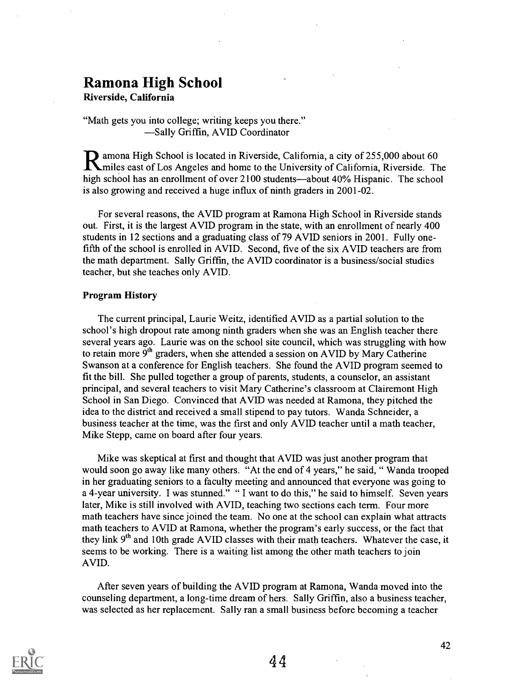# Ramona High School

Riverside, California

"Math gets you into college; writing keeps you there." -Sally Griffin, AVID Coordinator

amona High School is located in Riverside, California, a city of 255,000 about 60 iles east of Los Angeles and home to the University of California, Riverside. The high school has an enrollment of over  $2100$  students—about  $40\%$  Hispanic. The school is also growing and received a huge influx of ninth graders in 2001-02.

For several reasons, the AVID program at Ramona High School in Riverside stands out. First, it is the largest AVID program in the state, with an enrollment of nearly 400 students in 12 sections and a graduating class of 79 AVID seniors in 2001. Fully onefifth of the school is enrolled in AVID. Second, five of the six AVID teachers are from the math department. Sally Griffin, the AVID coordinator is a business/social studies teacher, but she teaches only AVID.

### Program History

The current principal, Laurie Weitz, identified AVID as a partial solution to the school's high dropout rate among ninth graders when she was an English teacher there several years ago. Laurie was on the school site council, which was struggling with how to retain more  $9<sup>th</sup>$  graders, when she attended a session on AVID by Mary Catherine Swanson at a conference for English teachers. She found the AVID program seemed to fit the bill. She pulled together a group of parents, students, a counselor, an assistant principal, and several teachers to visit Mary Catherine's classroom at Clairemont High School in San Diego. Convinced that AVID was needed at Ramona, they pitched the idea to the district and received a small stipend to pay tutors. Wanda Schneider, a business teacher at the time, was the first and only AVID teacher until a math teacher, Mike Stepp, came on board after four years.

Mike was skeptical at first and thought that AVID was just another program that would soon go away like many others. "At the end of 4 years," he said, " Wanda trooped in her graduating seniors to a faculty meeting and announced that everyone was going to a 4-year university. I was stunned." " I want to do this," he said to himself. Seven years later, Mike is still involved with AVID, teaching two sections each term. Four more math teachers have since joined the team. No one at the school can explain what attracts math teachers to AVID at Ramona, whether the program's early success, or the fact that they link  $9<sup>th</sup>$  and 10th grade AVID classes with their math teachers. Whatever the case, it seems to be working. There is a waiting list among the other math teachers to join AVID.

After seven years of building the AVID program at Ramona, Wanda moved into the counseling department, a long-time dream of hers. Sally Griffin, also a business teacher, was selected as her replacement. Sally ran a small business before becoming a teacher

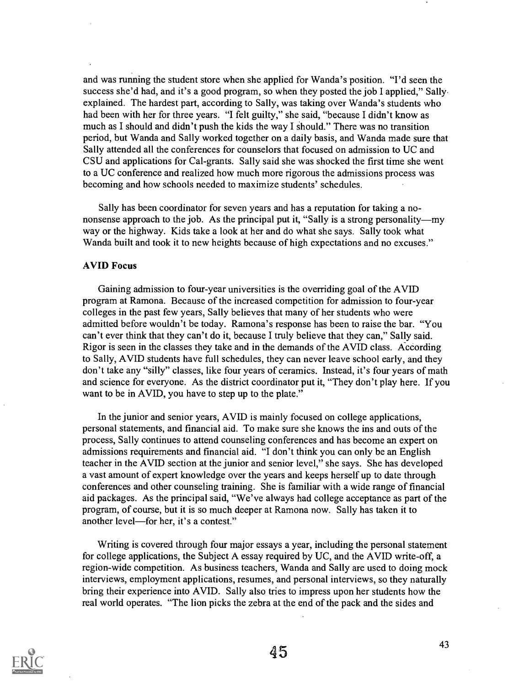and was running the student store when she applied for Wanda's position. "I'd seen the success she'd had, and it's a good program, so when they posted the job I applied," Sally. explained. The hardest part, according to Sally, was taking over Wanda's students who had been with her for three years. "I felt guilty," she said, "because I didn't know as much as I should and didn't push the kids the way I should." There was no transition period, but Wanda and Sally worked together on a daily basis, and Wanda made sure that Sally attended all the conferences for counselors that focused on admission to UC and CSU and applications for Cal-grants. Sally said she was shocked the first time she went to a UC conference and realized how much more rigorous the admissions process was becoming and how schools needed to maximize students' schedules.

Sally has been coordinator for seven years and has a reputation for taking a nononsense approach to the job. As the principal put it, "Sally is a strong personality—my way or the highway. Kids take a look at her and do what she says. Sally took what Wanda built and took it to new heights because of high expectations and no excuses."

### AVID Focus

Gaining admission to four-year universities is the overriding goal of the AVID program at Ramona. Because of the increased competition for admission to four-year colleges in the past few years, Sally believes that many of her students who were admitted before wouldn't be today. Ramona's response has been to raise the bar. "You can't ever think that they can't do it, because I truly believe that they can," Sally said. Rigor is seen in the classes they take and in the demands of the AVID class. According to Sally, AVID students have full schedules, they can never leave school early, and they don't take any "silly" classes, like four years of ceramics. Instead, it's four years of math and science for everyone. As the district coordinator put it, "They don't play here. If you want to be in AVID, you have to step up to the plate."

In the junior and senior years, AVID is mainly focused on college applications, personal statements, and financial aid. To make sure she knows the ins and outs of the process, Sally continues to attend counseling conferences and has become an expert on admissions requirements and financial aid. "I don't think you can only be an English teacher in the AVID section at the junior and senior level," she says. She has developed a vast amount of expert knowledge over the years and keeps herself up to date through conferences and other counseling training. She is familiar with a wide range of financial aid packages. As the principal said, "We've always had college acceptance as part of the program, of course, but it is so much deeper at Ramona now. Sally has taken it to another level—for her, it's a contest."

Writing is covered through four major essays a year, including the personal statement for college applications, the Subject A essay required by UC, and the AVID write-off, a region-wide competition. As business teachers, Wanda and Sally are used to doing mock interviews, employment applications, resumes, and personal interviews, so they naturally bring their experience into AVID. Sally also tries to impress upon her students how the real world operates. "The lion picks the zebra at the end of the pack and the sides and

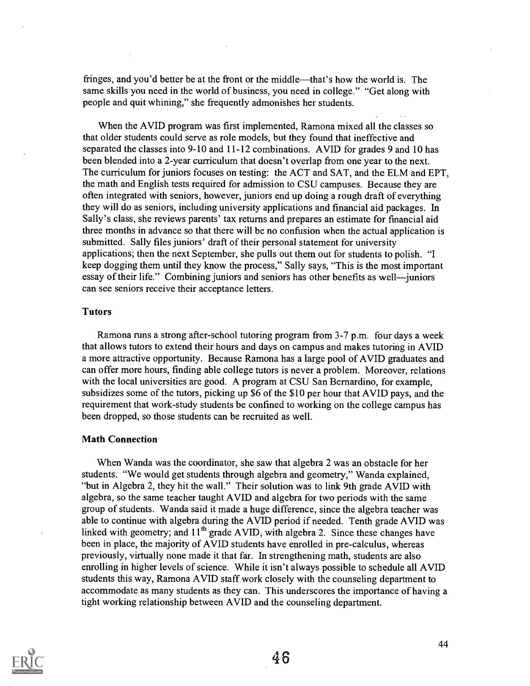fringes, and you'd better be at the front or the middle—that's how the world is. The same skills you need in the world of business, you need in college." "Get along with people and quit whining," she frequently admonishes her students.

When the AVID program was first implemented, Ramona mixed all the classes so that older students could serve as role models, but they found that ineffective and separated the classes into 9-10 and 11-12 combinations. AVID for grades 9 and 10 has been blended into a 2-year curriculum that doesn't overlap from one year to the next. The curriculum for juniors focuses on testing: the ACT and SAT, and the ELM and EPT, the math and English tests required for admission to CSU campuses. Because they are often integrated with seniors, however, juniors end up doing a rough draft of everything they will do as seniors, including university applications and financial aid packages. In Sally's class, she reviews parents' tax returns and prepares an estimate for financial aid three months in advance so that there will be no confusion when the actual application is submitted. Sally files juniors' draft of their personal statement for university applications; then the next September, she pulls out them out for students to polish. "I keep dogging them until they know the process," Sally says, "This is the most important essay of their life." Combining juniors and seniors has other benefits as well—juniors can see seniors receive their acceptance letters.

### Tutors

Ramona runs a strong after-school tutoring program from 3-7 p.m. four days a week that allows tutors to extend their hours and days on campus and makes tutoring in AVID a more attractive opportunity. Because Ramona has a large pool of AVID graduates and can offer more hours, finding able college tutors is never a problem. Moreover, relations with the local universities are good. A program at CSU San Bernardino, for example, subsidizes some of the tutors, picking up \$6 of the \$10 per hour that AVID pays, and the requirement that work-study students be confined to working on the college campus has been dropped, so those students can be recruited as well.

### Math Connection

When Wanda was the coordinator, she saw that algebra 2 was an obstacle for her students. "We would get students through algebra and geometry," Wanda explained, "but in Algebra 2, they hit the wall." Their solution was to link 9th grade AVID with algebra, so the same teacher taught AVID and algebra for two periods with the same group of students. Wanda said it made a huge difference, since the algebra teacher was able to continue with algebra during the AVID period if needed. Tenth grade AVID was linked with geometry; and  $11<sup>th</sup>$  grade AVID, with algebra 2. Since these changes have been in place, the majority of AVID students have enrolled in pre-calculus, whereas previously, virtually none made it that far. In strengthening math, students are also enrolling in higher levels of science. While it isn't always possible to schedule all AVID students this way, Ramona AVID staff work closely with the counseling department to accommodate as many students as they can. This underscores the importance of having a tight working relationship between AVID and the counseling department.

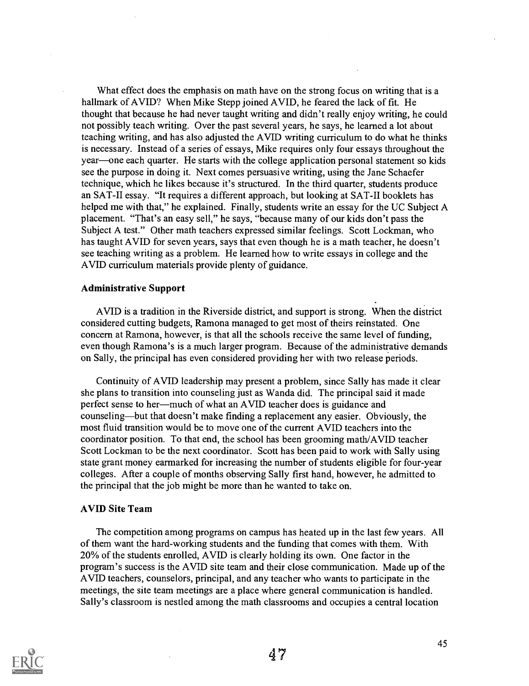What effect does the emphasis on math have on the strong focus on writing that is a hallmark of AVID? When Mike Stepp joined AVID, he feared the lack of fit. He thought that because he had never taught writing and didn't really enjoy writing, he could not possibly teach writing. Over the past several years, he says, he learned a lot about teaching writing, and has also adjusted the AVID writing curriculum to do what he thinks is necessary. Instead of a series of essays, Mike requires only four essays throughout the year—one each quarter. He starts with the college application personal statement so kids see the purpose in doing it. Next comes persuasive writing, using the Jane Schaefer technique, which he likes because it's structured. In the third quarter, students produce an SAT-II essay. "It requires a different approach, but looking at SAT-II booklets has helped me with that," he explained. Finally, students write an essay for the UC Subject A placement. "That's an easy sell," he says, "because many of our kids don't pass the Subject A test." Other math teachers expressed similar feelings. Scott Lockman, who has taught AVID for seven years, says that even though he is a math teacher, he doesn't see teaching writing as a problem. He learned how to write essays in college and the AVID curriculum materials provide plenty of guidance.

### Administrative Support

AVID is a tradition in the Riverside district, and support is strong. When the district considered cutting budgets, Ramona managed to get most of theirs reinstated. One concern at Ramona, however, is that all the schools receive the same level of funding, even though Ramona's is a much larger program. Because of the administrative demands on Sally, the principal has even considered providing her with two release periods.

Continuity of AVID leadership may present a problem, since Sally has made it clear she plans to transition into counseling just as Wanda did. The principal said it made perfect sense to her—much of what an AVID teacher does is guidance and counseling—but that doesn't make finding a replacement any easier. Obviously, the most fluid transition would be to move one of the current AVID teachers into the coordinator position. To that end, the school has been grooming math/AVID teacher Scott Lockman to be the next coordinator. Scott has been paid to work with Sally using state grant money earmarked for increasing the number of students eligible for four-year colleges. After a couple of months observing Sally first hand, however, he admitted to the principal that the job might be more than he wanted to take on.

### AVID Site Team

The competition among programs on campus has heated up in the last few years. All of them want the hard-working students and the funding that comes with them. With 20% of the students enrolled, AVID is clearly holding its own. One factor in the program's success is the AVID site team and their close communication. Made up of the AVID teachers, counselors, principal, and any teacher who wants to participate in the meetings, the site team meetings are a place where general communication is handled. Sally's classroom is nestled among the math classrooms and occupies a central location

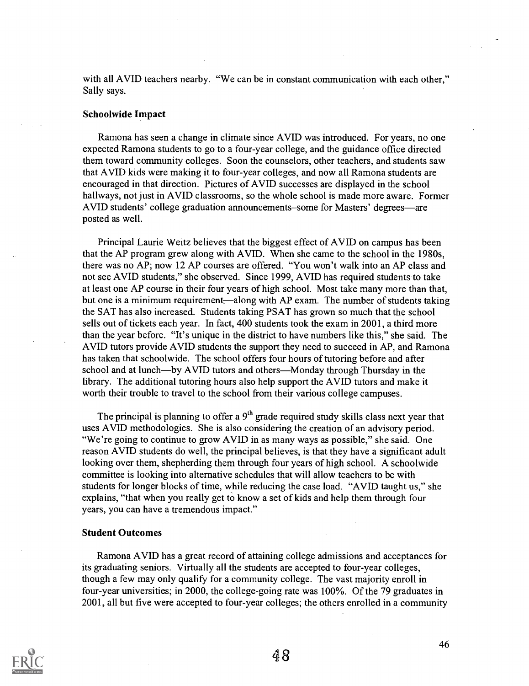with all AVID teachers nearby. "We can be in constant communication with each other," Sally says.

### Schoolwide Impact

Ramona has seen a change in climate since AVID was introduced. For years, no one expected Ramona students to go to a four-year college, and the guidance office directed them toward community colleges. Soon the counselors, other teachers, and students saw that AVID kids were making it to four-year colleges, and now all Ramona students are encouraged in that direction. Pictures of AVID successes are displayed in the school hallways, not just in AVID classrooms, so the whole school is made more aware. Former AVID students' college graduation announcements–some for Masters' degrees—are posted as well.

Principal Laurie Weitz believes that the biggest effect of AVID on campus has been that the AP program grew along with AVID. When she came to the school in the 1980s, there was no AP; now 12 AP courses are offered. "You won't walk into an AP class and not see AVID students," she observed. Since 1999, AVID has required students to take at least one AP course in their four years of high school. Most take many more than that, but one is a minimum requirement—along with AP exam. The number of students taking the SAT has also increased. Students taking PSAT has grown so much that the school sells out of tickets each year. In fact, 400 students took the exam in 2001, a third more than the year before. "It's unique in the district to have numbers like this," she said. The AVID tutors provide AVID students the support they need to succeed in AP, and Ramona has taken that schoolwide. The school offers four hours of tutoring before and after school and at lunch—by AVID tutors and others—Monday through Thursday in the library. The additional tutoring hours also help support the AVID tutors and make it worth their trouble to travel to the school from their various college campuses.

The principal is planning to offer a  $9<sup>th</sup>$  grade required study skills class next year that uses AVID methodologies. She is also considering the creation of an advisory period. "We're going to continue to grow AVID in as many ways as possible," she said. One reason AVID students do well, the principal believes, is that they have a significant adult looking over them, shepherding them through four years of high school. A schoolwide committee is looking into alternative schedules that will allow teachers to be with students for longer blocks of time, while reducing the case load. "AVID taught us," she explains, "that when you really get to know a set of kids and help them through four years, you can have a tremendous impact."

### Student Outcomes

Ramona AVID has a great record of attaining college admissions and acceptances for its graduating seniors. Virtually all the students are accepted to four-year colleges, though a few may only qualify for a community college. The vast majority enroll in four-year universities; in 2000, the college-going rate was 100%. Of the 79 graduates in 2001, all but five were accepted to four-year colleges; the others enrolled in a community

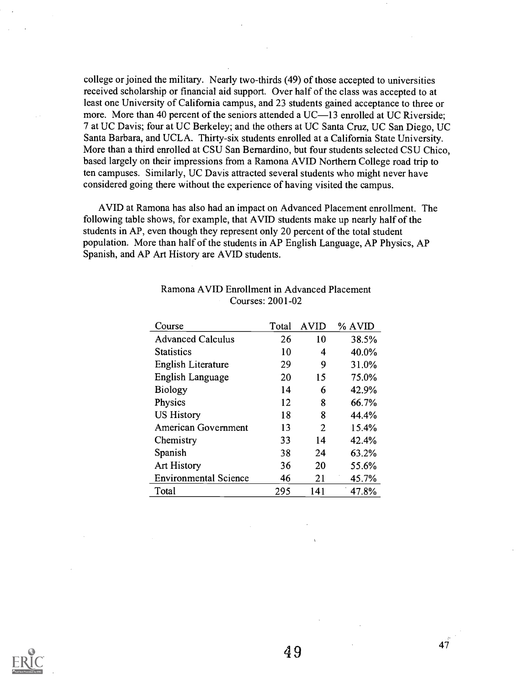college or joined the military. Nearly two-thirds (49) of those accepted to universities received scholarship or financial aid support. Over half of the class was accepted to at least one University of California campus, and 23 students gained acceptance to three or more. More than 40 percent of the seniors attended a UC—13 enrolled at UC Riverside; 7 at UC Davis; four at UC Berkeley; and the others at UC Santa Cruz, UC San Diego, UC Santa Barbara, and UCLA. Thirty-six students enrolled at a California State University. More than a third enrolled at CSU San Bernardino, but four students selected CSU Chico, based largely on their impressions from a Ramona AVID Northern College road trip to ten campuses. Similarly, UC Davis attracted several students who might never have considered going there without the experience of having visited the campus.

AVID at Ramona has also had an impact on Advanced Placement enrollment. The following table shows, for example, that AVID students make up nearly half of the students in AP, even though they represent only 20 percent of the total student population. More than half of the students in AP English Language, AP Physics, AP Spanish, and AP Art History are AVID students.

| Course                       | Total | <b>AVID</b> | % AVID |
|------------------------------|-------|-------------|--------|
| <b>Advanced Calculus</b>     | 26    | 10          | 38.5%  |
| <b>Statistics</b>            | 10    | 4           | 40.0%  |
| English Literature           | 29    | 9           | 31.0%  |
| English Language             | 20    | 15          | 75.0%  |
| <b>Biology</b>               | 14    | 6           | 42.9%  |
| Physics                      | 12    | 8           | 66.7%  |
| <b>US History</b>            | 18    | 8           | 44.4%  |
| American Government          | 13    | 2           | 15.4%  |
| Chemistry                    | 33    | 14          | 42.4%  |
| Spanish                      | 38    | 24          | 63.2%  |
| <b>Art History</b>           | 36    | 20          | 55.6%  |
| <b>Environmental Science</b> | 46    | 21          | 45.7%  |
| Total                        | 295   | 141         | 47.8%  |

### Ramona AVID Enrollment in Advanced Placement Courses: 2001-02

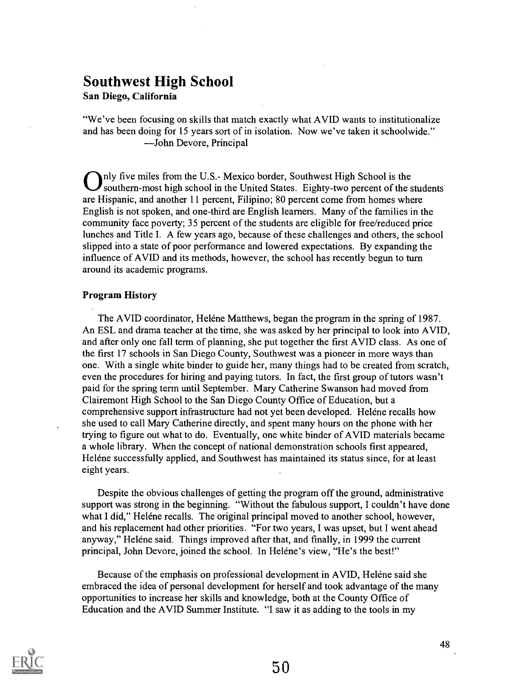# Southwest High School

San Diego, California

"We've been focusing on skills that match exactly what AVID wants to institutionalize and has been doing for 15 years sort of in isolation. Now we've taken it schoolwide." John Devore, Principal

Inly five miles from the U.S.- Mexico border, Southwest High School is the southern-most high school in the United States. Eighty-two percent of the students are Hispanic, and another 11 percent, Filipino; 80 percent come from homes where English is not spoken, and one-third are English learners. Many of the families in the community face poverty; 35 percent of the students are eligible for free/reduced price lunches and Title I. A few years ago, because of these challenges and others, the school slipped into a state of poor performance and lowered expectations. By expanding the influence of AVID and its methods, however, the school has recently begun to turn around its academic programs.

### Program History

The AVID coordinator, Heléne Matthews, began the program in the spring of 1987. An ESL and drama teacher at the time, she was asked by her principal to look into AVID, and after only one fall term of planning, she put together the first AVID class. As one of the first 17 schools in San Diego County, Southwest was a pioneer in more ways than one. With a single white binder to guide her, many things had to be created from scratch, even the procedures for hiring and paying tutors. In fact, the first group of tutors wasn't paid for the spring term until September. Mary Catherine Swanson had moved from Clairemont High School to the San Diego County Office of Education, but a comprehensive support infrastructure had not yet been developed. Helene recalls how she used to call Mary Catherine directly, and spent many hours on the phone with her trying to figure out what to do. Eventually, one white binder of AVID materials became a whole library. When the concept of national demonstration schools first appeared, Heléne successfully applied, and Southwest has maintained its status since, for at least eight years.

Despite the obvious challenges of getting the program off the ground, administrative support was strong in the beginning. "Without the fabulous support, I couldn't have done what I did," Helene recalls. The original principal moved to another school, however, and his replacement had other priorities. "For two years, I was upset, but I went ahead anyway," Heléne said. Things improved after that, and finally, in 1999 the current principal, John Devore, joined the school. In Heléne's view, "He's the best!"

Because of the emphasis on professional development in AVID, Heléne said she embraced the idea of personal development for herself and took advantage of the many opportunities to increase her skills and knowledge, both at the County Office of Education and the AVID Summer Institute. "I saw it as adding to the tools in my

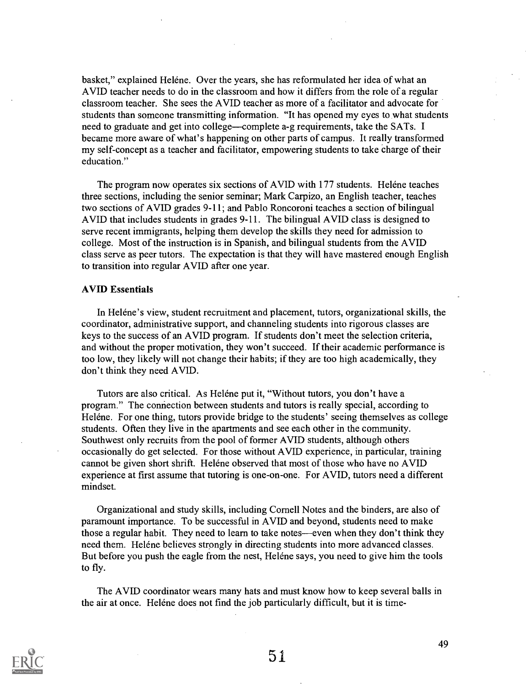basket," explained Heléne. Over the years, she has reformulated her idea of what an AVID teacher needs to do in the classroom and how it differs from the role of a regular classroom teacher. She sees the AVID teacher as more of a facilitator and advocate for students than someone transmitting information. "It has opened my eyes to what students need to graduate and get into college—complete a-g requirements, take the SATs. I became more aware of what's happening on other parts of campus. It really transformed my self-concept as a teacher and facilitator, empowering students to take charge of their education."

The program now operates six sections of AVID with 177 students. Helene teaches three sections, including the senior seminar; Mark Carpizo, an English teacher, teaches two sections of AVID grades 9-11; and Pablo Roncoroni teaches a section of bilingual AVID that includes students in grades 9-11. The bilingual AVID class is designed to serve recent immigrants, helping them develop the skills they need for admission to college. Most of the instruction is in Spanish, and bilingual students from the AVID class serve as peer tutors. The expectation is that they will have mastered enough English to transition into regular AVID after one year.

### AVID Essentials

In Heléne's view, student recruitment and placement, tutors, organizational skills, the coordinator, administrative support, and channeling students into rigorous classes are keys to the success of an AVID program. If students don't meet the selection criteria, and without the proper motivation, they won't succeed. If their academic performance is too low, they likely will not change their habits; if they are too high academically, they don't think they need AVID.

Tutors are also critical. As Heléne put it, "Without tutors, you don't have a program." The connection between students and tutors is really special, according to Heléne. For one thing, tutors provide bridge to the students' seeing themselves as college students. Often they live in the apartments and see each other in the community. Southwest only recruits from the pool of former AVID students, although others occasionally do get selected. For those without AVID experience, in particular, training cannot be given short shrift. Helene observed that most of those who have no AVID experience at first assume that tutoring is one-on-one. For AVID, tutors need a different mindset.

Organizational and study skills, including Cornell Notes and the binders, are also of paramount importance. To be successful in AVID and beyond, students need to make those a regular habit. They need to learn to take notes—even when they don't think they need them. Helene believes strongly in directing students into more advanced classes. But before you push the eagle from the nest, Helene says, you need to give him the tools to fly.

The AVID coordinator wears many hats and must know how to keep several balls in the air at once. Helene does not find the job particularly difficult, but it is time-

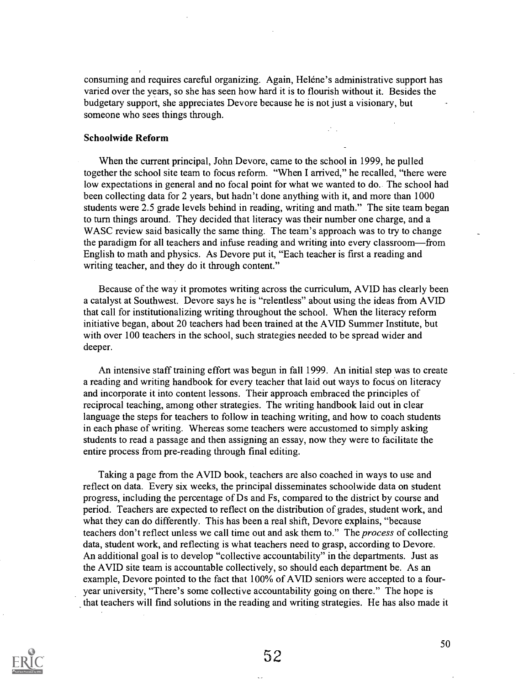consuming and requires careful organizing. Again, Helene's administrative support has varied over the years, so she has seen how hard it is to flourish without it. Besides the budgetary support, she appreciates Devore because he is not just a visionary, but someone who sees things through.

 $\mathcal{L}_{\text{max}}$ 

### Schoolwide Reform

When the current principal, John Devore, came to the school in 1999, he pulled together the school site team to focus reform. "When I arrived," he recalled, "there were low expectations in general and no focal point for what we wanted to do. The school had been collecting data for 2 years, but hadn't done anything with it, and more than 1000 students were 2.5 grade levels behind in reading, writing and math." The site team began to turn things around. They decided that literacy was their number one charge, and a WASC review said basically the same thing. The team's approach was to try to change the paradigm for all teachers and infuse reading and writing into every classroom-from English to math and physics. As Devore put it, "Each teacher is first a reading and writing teacher, and they do it through content."

Because of the way it promotes writing across the curriculum, AVID has clearly been a catalyst at Southwest. Devore says he is "relentless" about using the ideas from AVID that call for institutionalizing writing throughout the school. When the literacy reform initiative began, about 20 teachers had been trained at the AVID Summer Institute, but with over 100 teachers in the school, such strategies needed to be spread wider and deeper.

An intensive staff training effort was begun in fall 1999. An initial step was to create a reading and writing handbook for every teacher that laid out ways to focus on literacy and incorporate it into content lessons. Their approach embraced the principles of reciprocal teaching, among other strategies. The writing handbook laid out in clear language the steps for teachers to follow in teaching writing, and how to coach students in each phase of writing. Whereas some teachers were accustomed to simply asking students to read a passage and then assigning an essay, now they were to facilitate the entire process from pre-reading through final editing.

Taking a page from the AVID book, teachers are also coached in ways to use and reflect on data. Every six weeks, the principal disseminates schoolwide data on student progress, including the percentage of Ds and Fs, compared to the district by course and period. Teachers are expected to reflect on the distribution of grades, student work, and what they can do differently. This has been a real shift, Devore explains, "because teachers don't reflect unless we call time out and ask them to." The process of collecting data, student work, and reflecting is what teachers need to grasp, according to Devore. An additional goal is to develop "collective accountability" in the departments. Just as the AVID site team is accountable collectively, so should each department be. As an example, Devore pointed to the fact that 100% of AVID seniors were accepted to a fouryear university, "There's some collective accountability going on there." The hope is that teachers will find solutions in the reading and writing strategies. He has also made it

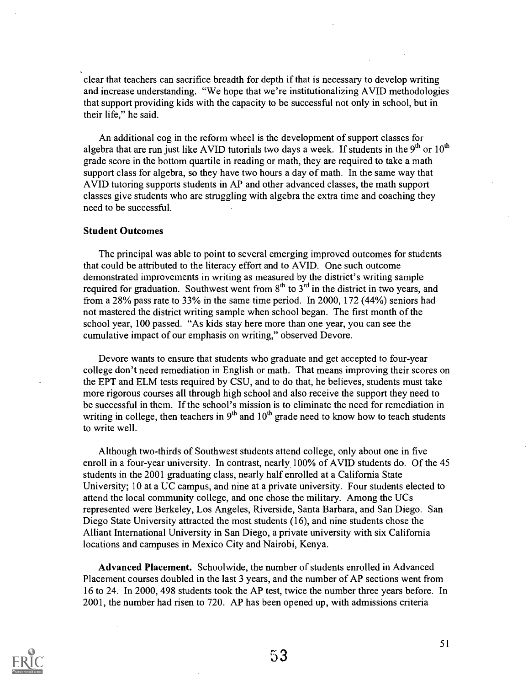clear that teachers can sacrifice breadth for depth if that is necessary to develop writing and increase understanding. "We hope that we're institutionalizing AVID methodologies that support providing kids with the capacity to be successful not only in school, but in their life," he said.

An additional cog in the reform wheel is the development of support classes for algebra that are run just like AVID tutorials two days a week. If students in the  $9<sup>th</sup>$  or  $10<sup>th</sup>$ grade score in the bottom quartile in reading or math, they are required to take a math support class for algebra, so they have two hours a day of math. In the same way that AVID tutoring supports students in AP and other advanced classes, the math support classes give students who are struggling with algebra the extra time and coaching they need to be successful.

### Student Outcomes

The principal was able to point to several emerging improved outcomes for students that could be attributed to the literacy effort and to AVID. One such outcome demonstrated improvements in writing as measured by the district's writing sample required for graduation. Southwest went from  $8<sup>th</sup>$  to  $3<sup>rd</sup>$  in the district in two years, and from a 28% pass rate to 33% in the same time period. In 2000, 172 (44%) seniors had not mastered the district writing sample when school began. The first month of the school year, 100 passed. "As kids stay here more than one year, you can see the cumulative impact of our emphasis on writing," observed Devore.

Devore wants to ensure that students who graduate and get accepted to four-year college don't need remediation in English or math. That means improving their scores on the EPT and ELM tests required by CSU, and to do that, he believes, students must take more rigorous courses all through high school and also receive the support they need to be successful in them. If the school's mission is to eliminate the need for remediation in writing in college, then teachers in  $9<sup>th</sup>$  and  $10<sup>th</sup>$  grade need to know how to teach students to write well.

Although two-thirds of Southwest students attend college, only about one in five enroll in a four-year university. In contrast, nearly 100% of AVID students do. Of the 45 students in the 2001 graduating class, nearly half enrolled at a California State University; 10 at a UC campus, and nine at a private university. Four students elected to attend the local community college, and one chose the military. Among the UCs represented were Berkeley, Los Angeles, Riverside, Santa Barbara, and San Diego. San Diego State University attracted the most students (16), and nine students chose the Alliant International University in San Diego, a private university with six California locations and campuses in Mexico City and Nairobi, Kenya.

Advanced Placement. Schoolwide, the number of students enrolled in Advanced Placement courses doubled in the last 3 years, and the number of AP sections went from 16 to 24. In 2000, 498 students took the AP test, twice the number three years before. In 2001, the number had risen to 720. AP has been opened up, with admissions criteria

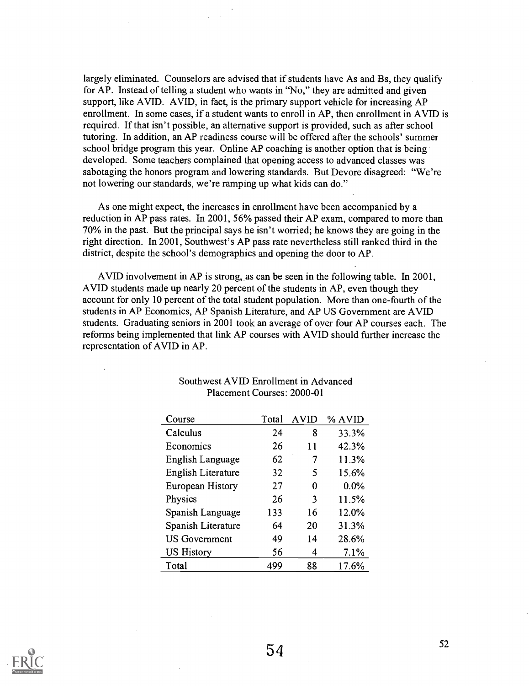largely eliminated. Counselors are advised that if students have As and Bs, they qualify for AP. Instead of telling a student who wants in "No," they are admitted and given support, like AVID. AVID, in fact, is the primary support vehicle for increasing AP enrollment. In some cases, if a student wants to enroll in AP, then enrollment in AVID is required. If that isn't possible, an alternative support is provided, such as after school tutoring. In addition, an AP readiness course will be offered after the schools' summer school bridge program this year. Online AP coaching is another option that is being developed. Some teachers complained that opening access to advanced classes was sabotaging the honors program and lowering standards. But Devore disagreed: "We're not lowering our standards, we're ramping up what kids can do."

As one might expect, the increases in enrollment have been accompanied by a reduction in AP pass rates. In 2001, 56% passed their AP exam, compared to more than 70% in the past. But the principal says he isn't worried; he knows they are going in the right direction. In 2001, Southwest's AP pass rate nevertheless still ranked third in the district, despite the school's demographics and opening the door to AP.

AVID involvement in AP is strong, as can be seen in the following table. In 2001, AVID students made up nearly 20 percent of the students in AP, even though they account for only 10 percent of the total student population. More than one-fourth of the students in AP Economics, AP Spanish Literature, and AP US Government are AVID students. Graduating seniors in 2001 took an average of over four AP courses each. The reforms being implemented that link AP courses with AVID should further increase the representation of AVID in AP.

| Course               | Total | <b>AVID</b> | % AVID |
|----------------------|-------|-------------|--------|
| Calculus             | 24    | 8           | 33.3%  |
| Economics            | 26    | 11          | 42.3%  |
| English Language     | 62    | 7           | 11.3%  |
| English Literature   | 32    | 5           | 15.6%  |
| European History     | 27    | 0           | 0.0%   |
| Physics              | 26    | 3           | 11.5%  |
| Spanish Language     | 133   | 16          | 12.0%  |
| Spanish Literature   | 64    | 20          | 31.3%  |
| <b>US Government</b> | 49    | 14          | 28.6%  |
| <b>US History</b>    | 56    | 4           | 7.1%   |
| Total                | 499   | 88          | 17.6%  |

### Southwest AVID Enrollment in Advanced Placement Courses: 2000-01

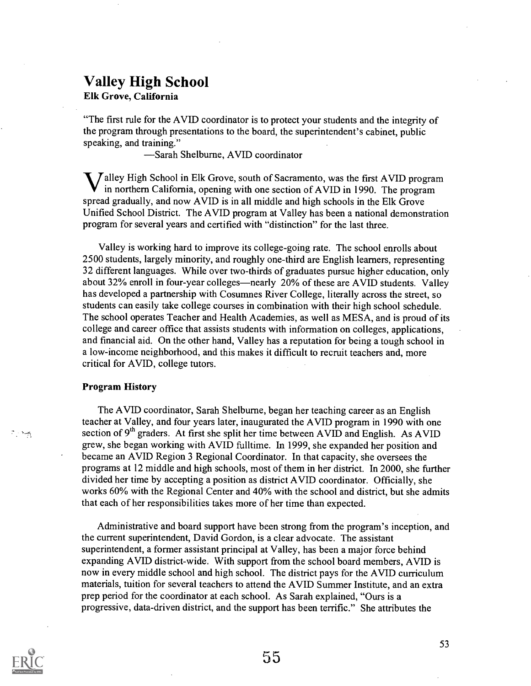# Valley High School

Elk Grove, California

"The first rule for the AVID coordinator is to protect your students and the integrity of the program through presentations to the board, the superintendent's cabinet, public speaking, and training."

Sarah Shelburne, AVID coordinator

 $\bigvee$  alley High School in Elk Grove, south of Sacramento, was the first AVID program in northern California, opening with one section of AVID in 1990. The program spread gradually, and now AVID is in all middle and high schools in the Elk Grove Unified School District. The AVID program at Valley has been a national demonstration program for several years and certified with "distinction" for the last three.

Valley is working hard to improve its college-going rate. The school enrolls about 2500 students, largely minority, and roughly one-third are English learners, representing 32 different languages. While over two-thirds of graduates pursue higher education, only about 32% enroll in four-year colleges—nearly 20% of these are AVID students. Valley has developed a partnership with Cosumnes River College, literally across the street, so students can easily take college courses in combination with their high school schedule. The school operates Teacher and Health Academies, as well as MESA, and is proud of its college and career office that assists students with information on colleges, applications, and financial aid. On the other hand, Valley has a reputation for being a tough school in a low-income neighborhood, and this makes it difficult to recruit teachers and, more critical for AVID, college tutors.

### Program History

The AVID coordinator, Sarah Shelburne, began her teaching career as an English teacher at Valley, and four years later, inaugurated the AVID program in 1990 with one section of 9<sup>th</sup> graders. At first she split her time between AVID and English. As AVID grew, she began working with AVID fulltime. In 1999, she expanded her position and became an AVID Region 3 Regional Coordinator. In that capacity, she oversees the programs at 12 middle and high schools, most of them in her district. In 2000, she further divided her time by accepting a position as district AVID coordinator. Officially, she works 60% with the Regional Center and 40% with the school and district, but she admits that each of her responsibilities takes more of her time than expected.

Administrative and board support have been strong from the program's inception, and the current superintendent, David Gordon, is a clear advocate. The assistant superintendent, a former assistant principal at Valley, has been a major force behind expanding AVID district-wide. With support from the school board members, AVID is now in every middle school and high school. The district pays for the AVID curriculum materials, tuition for several teachers to attend the AVID Summer Institute, and an extra prep period for the coordinator at each school. As Sarah explained, "Ours is a progressive, data-driven district, and the support has been terrific." She attributes the



جديد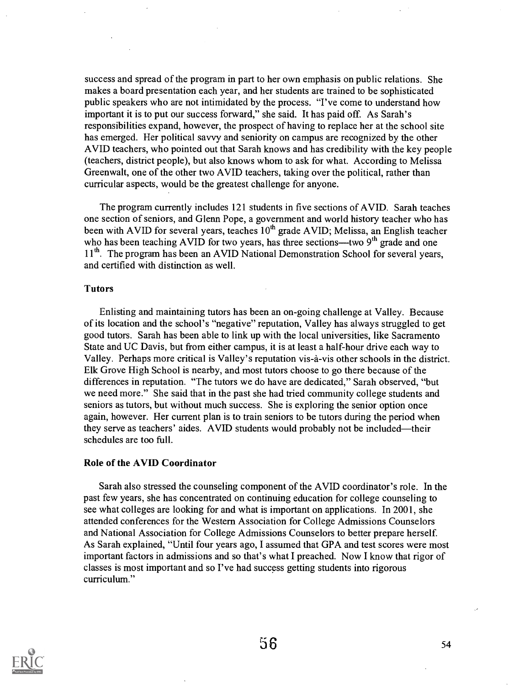success and spread of the program in part to her own emphasis on public relations. She makes a board presentation each year, and her students are trained to be sophisticated public speakers who are not intimidated by the process. "I've come to understand how important it is to put our success forward," she said. It has paid off. As Sarah's responsibilities expand, however, the prospect of having to replace her at the school site has emerged. Her political savvy and seniority on campus are recognized by the other AVID teachers, who pointed out that Sarah knows and has credibility with the key people (teachers, district people), but also knows whom to ask for what. According to Melissa Greenwalt, one of the other two AVID teachers, taking over the political, rather than curricular aspects, would be the greatest challenge for anyone.

The program currently includes 121 students in five sections of AVID. Sarah teaches one section of seniors, and Glenn Pope, a government and world history teacher who has been with AVID for several years, teaches  $10<sup>th</sup>$  grade AVID; Melissa, an English teacher who has been teaching AVID for two years, has three sections—two  $9<sup>th</sup>$  grade and one 11<sup>th</sup>. The program has been an AVID National Demonstration School for several years, and certified with distinction as well.

### Tutors

Enlisting and maintaining tutors has been an on-going challenge at Valley. Because of its location and the school's "negative" reputation, Valley has always struggled to get good tutors. Sarah has been able to link up with the local universities, like Sacramento State and UC Davis, but from either campus, it is at least a half-hour drive each way to Valley. Perhaps more critical is Valley's reputation vis-à-vis other schools in the district. Elk Grove High School is nearby, and most tutors choose to go there because of the differences in reputation. "The tutors we do have are dedicated," Sarah observed, "but we need more." She said that in the past she had tried community college students and seniors as tutors, but without much success. She is exploring the senior option once again, however. Her current plan is to train seniors to be tutors during the period when they serve as teachers' aides. AVID students would probably not be included—their schedules are too full.

### Role of the AVID Coordinator

Sarah also stressed the counseling component of the AVID coordinator's role. In the past few years, she has concentrated on continuing education for college counseling to see what colleges are looking for and what is important on applications. In 2001, she attended conferences for the Western Association for College Admissions Counselors and National Association for College Admissions Counselors to better prepare herself As Sarah explained, "Until four years ago, I assumed that GPA and test scores were most important factors in admissions and so that's what I preached. Now I know that rigor of classes is most important and so I've had success getting students into rigorous curriculum."

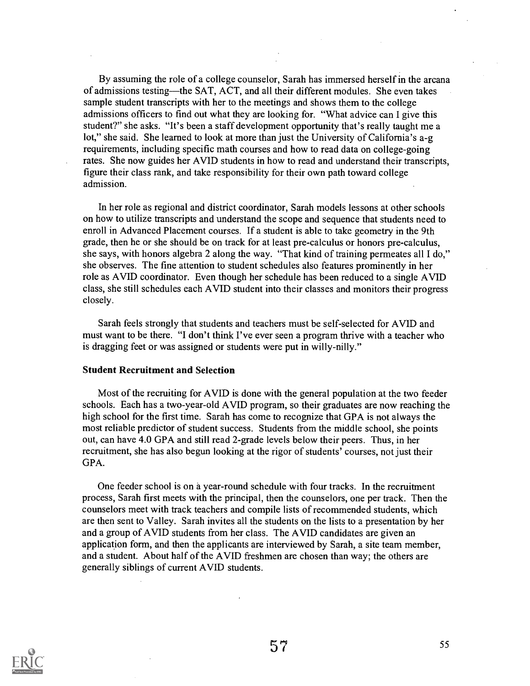By assuming the role of a college counselor, Sarah has immersed herself in the arcana of admissions testing—the SAT, ACT, and all their different modules. She even takes sample student transcripts with her to the meetings and shows them to the college admissions officers to find out what they are looking for. "What advice can I give this student?" she asks. "It's been a staff development opportunity that's really taught me a lot," she said. She learned to look at more than just the University of California's a-g requirements, including specific math courses and how to read data on college-going rates. She now guides her AVID students in how to read and understand their transcripts, figure their class rank, and take responsibility for their own path toward college admission.

In her role as regional and district coordinator, Sarah models lessons at other schools on how to utilize transcripts and understand the scope and sequence that students need to enroll in Advanced Placement courses. If a student is able to take geometry in the 9th grade, then he or she should be on track for at least pre-calculus or honors pre-calculus, she says, with honors algebra 2 along the way. "That kind of training permeates all I do," she observes. The fine attention to student schedules also features prominently in her role as AVID coordinator. Even though her schedule has been reduced to a single AVID class, she still schedules each AVID student into their classes and monitors their progress closely.

Sarah feels strongly that students and teachers must be self-selected for AVID and must want to be there. "I don't think I've ever seen a program thrive with a teacher who is dragging feet or was assigned or students were put in willy-nilly."

### Student Recruitment and Selection

Most of the recruiting for AVID is done with the general population at the two feeder schools. Each has a two-year-old AVID program, so their graduates are now reaching the high school for the first time. Sarah has come to recognize that GPA is not always the most reliable predictor of student success. Students from the middle school, she points out, can have 4.0 GPA and still read 2-grade levels below their peers. Thus, in her recruitment, she has also begun looking at the rigor of students' courses, not just their GPA.

One feeder school is on a year-round schedule with four tracks. In the recruitment process, Sarah first meets with the principal, then the counselors, one per track. Then the counselors meet with track teachers and compile lists of recommended students, which are then sent to Valley. Sarah invites all the students on the lists to a presentation by her and a group of AVID students from her class. The AVID candidates are given an application form, and then the applicants are interviewed by Sarah, a site team member, and a student. About half of the AVID freshmen are chosen than way; the others are generally siblings of current AVID students.

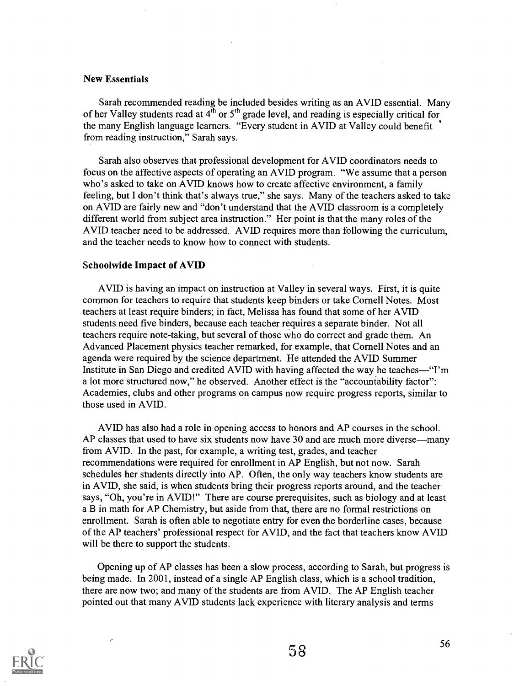### New Essentials

Sarah recommended reading be included besides writing as an AVID essential. Many of her Valley students read at  $4<sup>th</sup>$  or  $5<sup>th</sup>$  grade level, and reading is especially critical for the many English language learners. "Every student in AVID at Valley could benefit from reading instruction," Sarah says.

Sarah also observes that professional development for AVID coordinators needs to focus on the affective aspects of operating an AVID program. "We assume that a person who's asked to take on AVID knows how to create affective environment, a family feeling, but I don't think that's always true," she says. Many of the teachers asked to take on AVID are fairly new and "don't understand that the AVID classroom is a completely different world from subject area instruction." Her point is that the many roles of the AVID teacher need to be addressed. AVID requires more than following the curriculum, and the teacher needs to know how to connect with students.

### Schoolwide Impact of AVID

AVID is having an impact on instruction at Valley in several ways. First, it is quite common for teachers to require that students keep binders or take Cornell Notes. Most teachers at least require binders; in fact, Melissa has found that some of her AVID students need five binders, because each teacher requires a separate binder. Not all teachers require note-taking, but several of those who do correct and grade them. An Advanced Placement physics teacher remarked, for example, that Cornell Notes and an agenda were required by the science department. He attended the AVID Summer Institute in San Diego and credited AVID with having affected the way he teaches—"I'm a lot more structured now," he observed. Another effect is the "accountability factor": Academies, clubs and other programs on campus now require progress reports, similar to those used in AVID.

AVID has also had a role in opening access to honors and AP courses in the school. AP classes that used to have six students now have 30 and are much more diverse—many from AVID. In the past, for example, a writing test, grades, and teacher recommendations were required for enrollment in AP English, but not now. Sarah schedules her students directly into AP. Often, the only way teachers know students are in AVID, she said, is when students bring their progress reports around, and the teacher says, "Oh, you're in AVID!" There are course prerequisites, such as biology and at least a B in math for AP Chemistry, but aside from that, there are no formal restrictions on enrollment. Sarah is often able to negotiate entry for even the borderline cases, because of the AP teachers' professional respect for AVID, and the fact that teachers know AVID will be there to support the students.

Opening up of AP classes has been a slow process, according to Sarah, but progress is being made. In 2001, instead of a single AP English class, which is a school tradition, there are now two; and many of the students are from AVID. The AP English teacher pointed out that many AVID students lack experience with literary analysis and terms

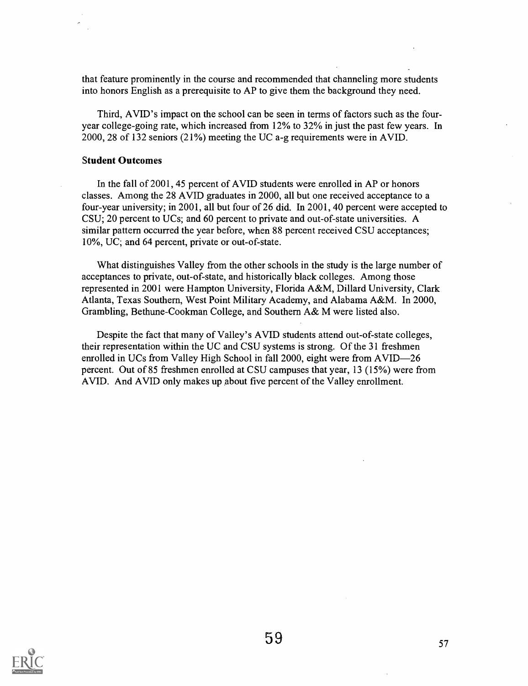that feature prominently in the course and recommended that channeling more students into honors English as a prerequisite to AP to give them the background they need.

Third, AVID's impact on the school can be seen in terms of factors such as the fouryear college-going rate, which increased from 12% to 32% in just the past few years. In 2000, 28 of 132 seniors (21%) meeting the UC a-g requirements were in AVID.

### Student Outcomes

In the fall of 2001, 45 percent of AVID students were enrolled in AP or honors classes. Among the 28 AVID graduates in 2000, all but one received acceptance to a four-year university; in 2001, all but four of 26 did. In 2001, 40 percent were accepted to CSU; 20 percent to UCs; and 60 percent to private and out-of-state universities. A similar pattern occurred the year before, when 88 percent received CSU acceptances; 10%, UC; and 64 percent, private or out-of-state.

What distinguishes Valley from the other schools in the study is the large number of acceptances to private, out-of-state, and historically black colleges. Among those represented in 2001 were Hampton University, Florida A&M, Dillard University, Clark Atlanta, Texas Southern, West Point Military Academy, and Alabama A&M. In 2000, Grambling, Bethune-Cookman College, and Southern A& M were listed also.

Despite the fact that many of Valley's AVID students attend out-of-state colleges, their representation within the UC and CSU systems is strong. Of the 31 freshmen enrolled in UCs from Valley High School in fall 2000, eight were from AVID-26 percent. Out of 85 freshmen enrolled at CSU campuses that year, 13 (15%) were from AVID. And AVID only makes up about five percent of the Valley enrollment.

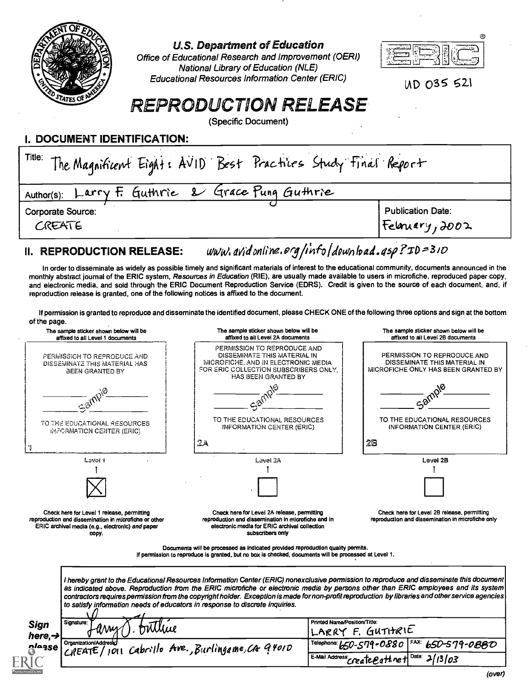

### U.S. Department of Education

Office of Educational Research and Improvement (OERI) National Library of Education (NLE) Educational Resources Information Center (ERIC)



UD 035 521

# REPRODUCTION RELEASE

(Specific Document)

I. DOCUMENT IDENTIFICATION:

| Title: The Magnificent Eight: AVID Best Practices Study Final Report |                                             |
|----------------------------------------------------------------------|---------------------------------------------|
| Author(s): Larry F. Guthrie & Grace Pung Guthrie                     |                                             |
| <b>Corporate Source:</b><br>CREATE                                   | <b>Publication Date:</b><br>Feloniery, 2002 |
|                                                                      |                                             |

### II. REPRODUCTION RELEASE:  $www. avidonline.org/info/downbad.asp?ID = 310$

In order to disseminate as widely as possible timely and significant materials of interest to the educational community, documents announced in the monthiv abstract journal of the ERIC system, Resources in Education (RIE), are usually made available to users in microfiche, reproduced paper copy, and electronic media, and sold through the ERIC Document Reproduction Service (EDRS). Credit is given to the source of each document, and, if reproduction release is granted, one of the following notices is affixed to the document.

If permission is granted to reproduce and disseminate the identified document, please CHECK ONE of the following three options and sign at the bottom of the page.